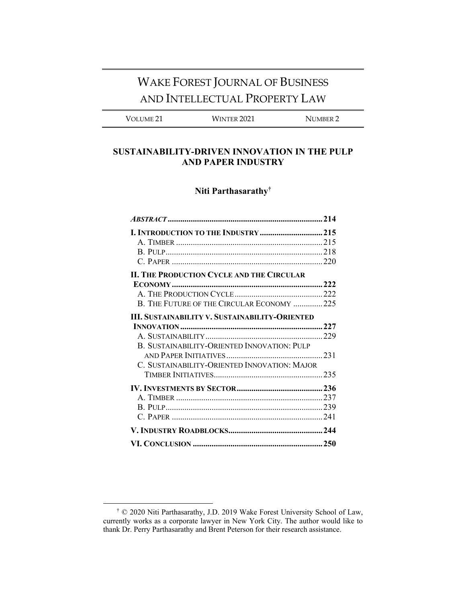# WAKE FOREST JOURNAL OF BUSINESS AND INTELLECTUAL PROPERTY LAW

VOLUME 21 WINTER 2021 NUMBER 2

## **SUSTAINABILITY-DRIVEN INNOVATION IN THE PULP AND PAPER INDUSTRY**

# **Niti Parthasarathy†**

| <b>II. THE PRODUCTION CYCLE AND THE CIRCULAR</b>      |  |
|-------------------------------------------------------|--|
|                                                       |  |
|                                                       |  |
| B. THE FUTURE OF THE CIRCULAR ECONOMY 225             |  |
| <b>III. SUSTAINABILITY V. SUSTAINABILITY-ORIENTED</b> |  |
|                                                       |  |
|                                                       |  |
| B. SUSTAINABILITY-ORIENTED INNOVATION: PULP           |  |
|                                                       |  |
| C. SUSTAINABILITY-ORIENTED INNOVATION: MAJOR          |  |
|                                                       |  |
|                                                       |  |
|                                                       |  |
|                                                       |  |
|                                                       |  |
|                                                       |  |
|                                                       |  |

<sup>†</sup> © 2020 Niti Parthasarathy, J.D. 2019 Wake Forest University School of Law, currently works as a corporate lawyer in New York City. The author would like to thank Dr. Perry Parthasarathy and Brent Peterson for their research assistance.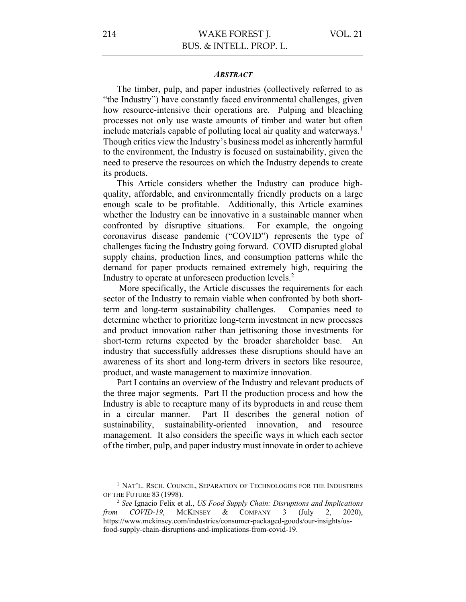#### *ABSTRACT*

The timber, pulp, and paper industries (collectively referred to as "the Industry") have constantly faced environmental challenges, given how resource-intensive their operations are. Pulping and bleaching processes not only use waste amounts of timber and water but often include materials capable of polluting local air quality and waterways. 1 Though critics view the Industry's business model as inherently harmful to the environment, the Industry is focused on sustainability, given the need to preserve the resources on which the Industry depends to create its products.

This Article considers whether the Industry can produce highquality, affordable, and environmentally friendly products on a large enough scale to be profitable. Additionally, this Article examines whether the Industry can be innovative in a sustainable manner when confronted by disruptive situations. For example, the ongoing coronavirus disease pandemic ("COVID") represents the type of challenges facing the Industry going forward. COVID disrupted global supply chains, production lines, and consumption patterns while the demand for paper products remained extremely high, requiring the Industry to operate at unforeseen production levels. 2

More specifically, the Article discusses the requirements for each sector of the Industry to remain viable when confronted by both shortterm and long-term sustainability challenges. Companies need to determine whether to prioritize long-term investment in new processes and product innovation rather than jettisoning those investments for short-term returns expected by the broader shareholder base. An industry that successfully addresses these disruptions should have an awareness of its short and long-term drivers in sectors like resource, product, and waste management to maximize innovation.

Part I contains an overview of the Industry and relevant products of the three major segments. Part II the production process and how the Industry is able to recapture many of its byproducts in and reuse them in a circular manner. Part II describes the general notion of sustainability, sustainability-oriented innovation, and resource management. It also considers the specific ways in which each sector of the timber, pulp, and paper industry must innovate in order to achieve

<sup>&</sup>lt;sup>1</sup> NAT'L. RSCH. COUNCIL, SEPARATION OF TECHNOLOGIES FOR THE INDUSTRIES OF THE FUTURE 83 (1998).

<sup>2</sup> *See* Ignacio Felix et al., *US Food Supply Chain: Disruptions and Implications from COVID-19*, MCKINSEY & COMPANY 3 (July 2, 2020), https://www.mckinsey.com/industries/consumer-packaged-goods/our-insights/usfood-supply-chain-disruptions-and-implications-from-covid-19.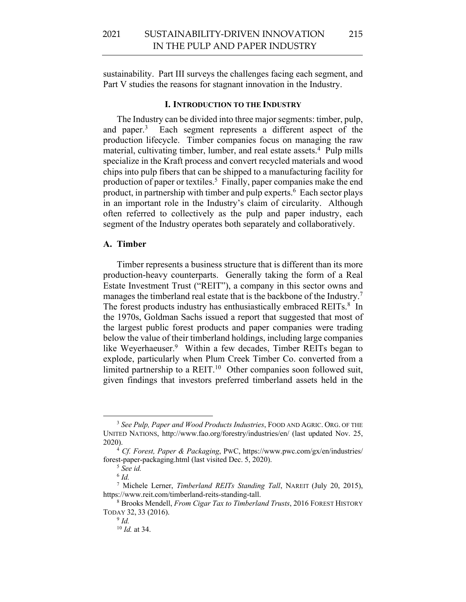sustainability. Part III surveys the challenges facing each segment, and Part V studies the reasons for stagnant innovation in the Industry.

#### **I. INTRODUCTION TO THE INDUSTRY**

The Industry can be divided into three major segments: timber, pulp, and paper.<sup>3</sup> Each segment represents a different aspect of the production lifecycle. Timber companies focus on managing the raw material, cultivating timber, lumber, and real estate assets.<sup>4</sup> Pulp mills specialize in the Kraft process and convert recycled materials and wood chips into pulp fibers that can be shipped to a manufacturing facility for production of paper or textiles.<sup>5</sup> Finally, paper companies make the end product, in partnership with timber and pulp experts.<sup>6</sup> Each sector plays in an important role in the Industry's claim of circularity. Although often referred to collectively as the pulp and paper industry, each segment of the Industry operates both separately and collaboratively.

## **A. Timber**

Timber represents a business structure that is different than its more production-heavy counterparts. Generally taking the form of a Real Estate Investment Trust ("REIT"), a company in this sector owns and manages the timberland real estate that is the backbone of the Industry.<sup>7</sup> The forest products industry has enthusiastically embraced REITs.<sup>8</sup> In the 1970s, Goldman Sachs issued a report that suggested that most of the largest public forest products and paper companies were trading below the value of their timberland holdings, including large companies like Weyerhaeuser.<sup>9</sup> Within a few decades, Timber REITs began to explode, particularly when Plum Creek Timber Co. converted from a limited partnership to a REIT.<sup>10</sup> Other companies soon followed suit, given findings that investors preferred timberland assets held in the

<sup>3</sup> *See Pulp, Paper and Wood Products Industries*, FOOD AND AGRIC. ORG. OF THE UNITED NATIONS, http://www.fao.org/forestry/industries/en/ (last updated Nov. 25, 2020).

<sup>4</sup> *Cf. Forest, Paper & Packaging*, PWC, https://www.pwc.com/gx/en/industries/ forest-paper-packaging.html (last visited Dec. 5, 2020).

<sup>5</sup> *See id.*

<sup>6</sup> *Id.*

<sup>7</sup> Michele Lerner, *Timberland REITs Standing Tall*, NAREIT (July 20, 2015), https://www.reit.com/timberland-reits-standing-tall. 8 Brooks Mendell, *From Cigar Tax to Timberland Trusts*, 2016 FOREST HISTORY

TODAY 32, 33 (2016).

<sup>9</sup> *Id.*

<sup>10</sup> *Id.* at 34.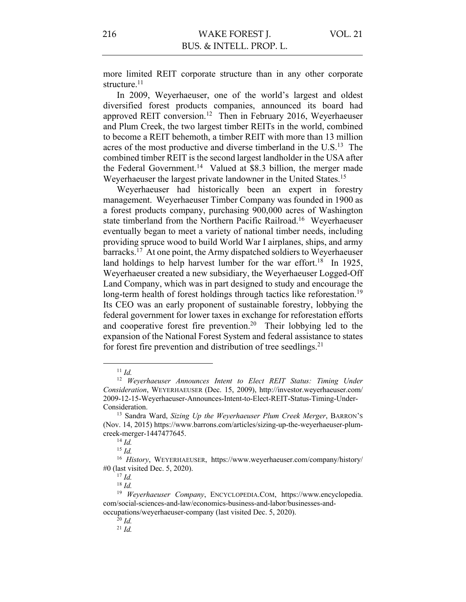more limited REIT corporate structure than in any other corporate structure.<sup>11</sup>

In 2009, Weyerhaeuser, one of the world's largest and oldest diversified forest products companies, announced its board had approved REIT conversion.12 Then in February 2016, Weyerhaeuser and Plum Creek, the two largest timber REITs in the world, combined to become a REIT behemoth, a timber REIT with more than 13 million acres of the most productive and diverse timberland in the U.S.13 The combined timber REIT is the second largest landholder in the USA after the Federal Government.<sup>14</sup> Valued at \$8.3 billion, the merger made Weyerhaeuser the largest private landowner in the United States.15

Weyerhaeuser had historically been an expert in forestry management. Weyerhaeuser Timber Company was founded in 1900 as a forest products company, purchasing 900,000 acres of Washington state timberland from the Northern Pacific Railroad.16 Weyerhaeuser eventually began to meet a variety of national timber needs, including providing spruce wood to build World War I airplanes, ships, and army barracks.17 At one point, the Army dispatched soldiers to Weyerhaeuser land holdings to help harvest lumber for the war effort.<sup>18</sup> In 1925, Weyerhaeuser created a new subsidiary, the Weyerhaeuser Logged-Off Land Company, which was in part designed to study and encourage the long-term health of forest holdings through tactics like reforestation.<sup>19</sup> Its CEO was an early proponent of sustainable forestry, lobbying the federal government for lower taxes in exchange for reforestation efforts and cooperative forest fire prevention.20 Their lobbying led to the expansion of the National Forest System and federal assistance to states for forest fire prevention and distribution of tree seedlings. $21$ 

<sup>11</sup> *Id.* 

<sup>&</sup>lt;sup>12</sup> Weverhaeuser Announces Intent to Elect REIT Status: Timing Under *Consideration*, WEYERHAEUSER (Dec. 15, 2009), http://investor.weyerhaeuser.com/ 2009-12-15-Weyerhaeuser-Announces-Intent-to-Elect-REIT-Status-Timing-Under-Consideration. 13 Sandra Ward, *Sizing Up the Weyerhaeuser Plum Creek Merger*, BARRON'S

<sup>(</sup>Nov. 14, 2015) https://www.barrons.com/articles/sizing-up-the-weyerhaeuser-plumcreek-merger-1447477645. 14 *Id.*

<sup>15</sup> *Id.*

<sup>16</sup> *History*, WEYERHAEUSER, https://www.weyerhaeuser.com/company/history/ #0 (last visited Dec. 5, 2020). 17 *Id.* 

<sup>18</sup> *Id.* 

<sup>19</sup> *Weyerhaeuser Company*, ENCYCLOPEDIA.COM, https://www.encyclopedia. com/social-sciences-and-law/economics-business-and-labor/businesses-andoccupations/weyerhaeuser-company (last visited Dec. 5, 2020).

 $^{20}$  *Id.* 

<sup>21</sup> *Id.*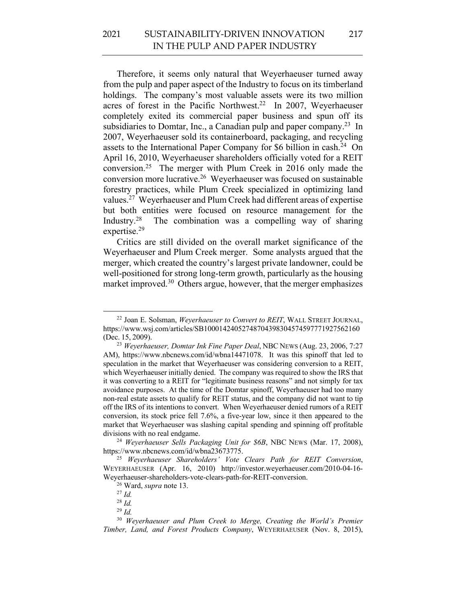Therefore, it seems only natural that Weyerhaeuser turned away from the pulp and paper aspect of the Industry to focus on its timberland holdings. The company's most valuable assets were its two million acres of forest in the Pacific Northwest.<sup>22</sup> In 2007, Weyerhaeuser completely exited its commercial paper business and spun off its subsidiaries to Domtar, Inc., a Canadian pulp and paper company.<sup>23</sup> In 2007, Weyerhaeuser sold its containerboard, packaging, and recycling assets to the International Paper Company for \$6 billion in cash.24 On April 16, 2010, Weyerhaeuser shareholders officially voted for a REIT conversion.25 The merger with Plum Creek in 2016 only made the conversion more lucrative.26 Weyerhaeuser was focused on sustainable forestry practices, while Plum Creek specialized in optimizing land values.27 Weyerhaeuser and Plum Creek had different areas of expertise but both entities were focused on resource management for the Industry.28 The combination was a compelling way of sharing expertise.29

Critics are still divided on the overall market significance of the Weyerhaeuser and Plum Creek merger. Some analysts argued that the merger, which created the country's largest private landowner, could be well-positioned for strong long-term growth, particularly as the housing market improved.<sup>30</sup> Others argue, however, that the merger emphasizes

<sup>22</sup> Joan E. Solsman, *Weyerhaeuser to Convert to REIT*, WALL STREET JOURNAL, https://www.wsj.com/articles/SB10001424052748704398304574597771927562160 (Dec. 15, 2009).

<sup>23</sup> *Weyerhaeuser, Domtar Ink Fine Paper Deal*, NBC NEWS (Aug. 23, 2006, 7:27 AM), https://www.nbcnews.com/id/wbna14471078. It was this spinoff that led to speculation in the market that Weyerhaeuser was considering conversion to a REIT, which Weyerhaeuser initially denied. The company was required to show the IRS that it was converting to a REIT for "legitimate business reasons" and not simply for tax avoidance purposes. At the time of the Domtar spinoff, Weyerhaeuser had too many non-real estate assets to qualify for REIT status, and the company did not want to tip off the IRS of its intentions to convert. When Weyerhaeuser denied rumors of a REIT conversion, its stock price fell 7.6%, a five-year low, since it then appeared to the market that Weyerhaeuser was slashing capital spending and spinning off profitable

divisions with no real endgame. 24 *Weyerhaeuser Sells Packaging Unit for \$6B*, NBC NEWS (Mar. 17, 2008), https://www.nbcnews.com/id/wbna23673775.

<sup>25</sup> *Weyerhaeuser Shareholders' Vote Clears Path for REIT Conversion*, WEYERHAEUSER (Apr. 16, 2010) http://investor.weyerhaeuser.com/2010-04-16- Weyerhaeuser-shareholders-vote-clears-path-for-REIT-conversion. 26 Ward, *supra* note 13.

<sup>27</sup> *Id.*

<sup>28</sup> *Id.*

<sup>29</sup> *Id.*

<sup>30</sup> *Weyerhaeuser and Plum Creek to Merge, Creating the World's Premier Timber, Land, and Forest Products Company*, WEYERHAEUSER (Nov. 8, 2015),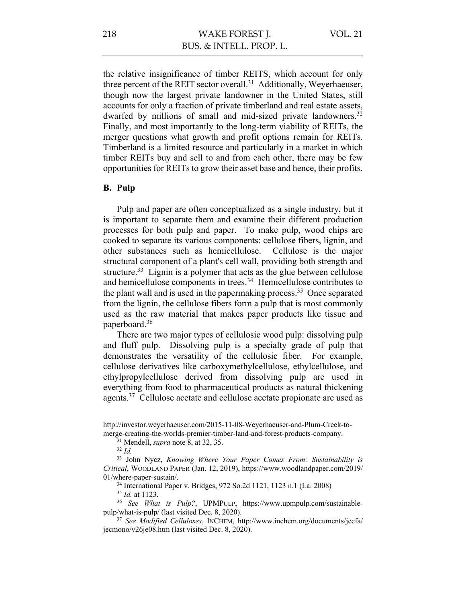VOL. 21

the relative insignificance of timber REITS, which account for only three percent of the REIT sector overall.<sup>31</sup> Additionally, Weyerhaeuser, though now the largest private landowner in the United States, still accounts for only a fraction of private timberland and real estate assets, dwarfed by millions of small and mid-sized private landowners.<sup>32</sup> Finally, and most importantly to the long-term viability of REITs, the merger questions what growth and profit options remain for REITs. Timberland is a limited resource and particularly in a market in which timber REITs buy and sell to and from each other, there may be few opportunities for REITs to grow their asset base and hence, their profits.

## **B. Pulp**

Pulp and paper are often conceptualized as a single industry, but it is important to separate them and examine their different production processes for both pulp and paper. To make pulp, wood chips are cooked to separate its various components: cellulose fibers, lignin, and other substances such as hemicellulose. Cellulose is the major structural component of a plant's cell wall, providing both strength and structure.<sup>33</sup> Lignin is a polymer that acts as the glue between cellulose and hemicellulose components in trees.<sup>34</sup> Hemicellulose contributes to the plant wall and is used in the papermaking process.<sup>35</sup> Once separated from the lignin, the cellulose fibers form a pulp that is most commonly used as the raw material that makes paper products like tissue and paperboard.36

There are two major types of cellulosic wood pulp: dissolving pulp and fluff pulp. Dissolving pulp is a specialty grade of pulp that demonstrates the versatility of the cellulosic fiber. For example, cellulose derivatives like carboxymethylcellulose, ethylcellulose, and ethylpropylcellulose derived from dissolving pulp are used in everything from food to pharmaceutical products as natural thickening agents.<sup>37</sup> Cellulose acetate and cellulose acetate propionate are used as

http://investor.weyerhaeuser.com/2015-11-08-Weyerhaeuser-and-Plum-Creek-tomerge-creating-the-worlds-premier-timber-land-and-forest-products-company.<br><sup>31</sup> Mendell, *supra* note 8, at 32, 35. <sup>32</sup> *Id*.

<sup>33</sup> John Nycz, *Knowing Where Your Paper Comes From: Sustainability is Critical*, WOODLAND PAPER (Jan. 12, 2019), https://www.woodlandpaper.com/2019/ 01/where-paper-sustain/.

<sup>&</sup>lt;sup>34</sup> International Paper v. Bridges, 972 So.2d 1121, 1123 n.1 (La. 2008)<br><sup>35</sup> Id. at 1123.

<sup>&</sup>lt;sup>36</sup> *See What is Pulp?*, UPMPULP, https://www.upmpulp.com/sustainablepulp/what-is-pulp/ (last visited Dec. 8, 2020).

<sup>37</sup> *See Modified Celluloses*, INCHEM, http://www.inchem.org/documents/jecfa/ jecmono/v26je08.htm (last visited Dec. 8, 2020).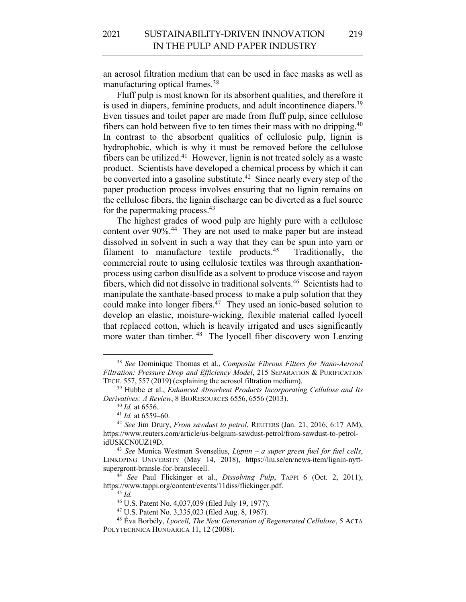an aerosol filtration medium that can be used in face masks as well as manufacturing optical frames.38

Fluff pulp is most known for its absorbent qualities, and therefore it is used in diapers, feminine products, and adult incontinence diapers.<sup>39</sup> Even tissues and toilet paper are made from fluff pulp, since cellulose fibers can hold between five to ten times their mass with no dripping.40 In contrast to the absorbent qualities of cellulosic pulp, lignin is hydrophobic, which is why it must be removed before the cellulose fibers can be utilized.<sup>41</sup> However, lignin is not treated solely as a waste product. Scientists have developed a chemical process by which it can be converted into a gasoline substitute.<sup>42</sup> Since nearly every step of the paper production process involves ensuring that no lignin remains on the cellulose fibers, the lignin discharge can be diverted as a fuel source for the papermaking process. 43

The highest grades of wood pulp are highly pure with a cellulose content over 90%.44 They are not used to make paper but are instead dissolved in solvent in such a way that they can be spun into yarn or filament to manufacture textile products.45 Traditionally, the commercial route to using cellulosic textiles was through axanthationprocess using carbon disulfide as a solvent to produce viscose and rayon fibers, which did not dissolve in traditional solvents.46 Scientists had to manipulate the xanthate-based process to make a pulp solution that they could make into longer fibers. $^{47}$  They used an ionic-based solution to develop an elastic, moisture-wicking, flexible material called lyocell that replaced cotton, which is heavily irrigated and uses significantly more water than timber. <sup>48</sup> The lyocell fiber discovery won Lenzing

<sup>38</sup> *See* Dominique Thomas et al., *Composite Fibrous Filters for Nano-Aerosol Filtration: Pressure Drop and Efficiency Model*, 215 SEPARATION & PURIFICATION TECH. 557, 557 (2019) (explaining the aerosol filtration medium).

<sup>39</sup> Hubbe et al., *Enhanced Absorbent Products Incorporating Cellulose and Its Derivatives: A Review*, 8 BIORESOURCES 6556, 6556 (2013).

<sup>40</sup> *Id.* at 6556.

<sup>41</sup> *Id.* at 6559–60.

<sup>42</sup> *See* Jim Drury, *From sawdust to petrol*, REUTERS (Jan. 21, 2016, 6:17 AM), https://www.reuters.com/article/us-belgium-sawdust-petrol/from-sawdust-to-petrolidUSKCN0UZ19D.

<sup>43</sup> *See* Monica Westman Svenselius, *Lignin – a super green fuel for fuel cells*, LINKOPING UNIVERSITY (May 14, 2018), https://liu.se/en/news-item/lignin-nyttsupergront-bransle-for-branslecell.

<sup>44</sup> *See* Paul Flickinger et al., *Dissolving Pulp*, TAPPI 6 (Oct. 2, 2011), https://www.tappi.org/content/events/11diss/flickinger.pdf.

<sup>45</sup> *Id.*

<sup>46</sup> U.S. Patent No. 4,037,039 (filed July 19, 1977).

<sup>47</sup> U.S. Patent No. 3,335,023 (filed Aug. 8, 1967).

<sup>48</sup> Éva Borbély, *Lyocell, The New Generation of Regenerated Cellulose*, 5 ACTA POLYTECHNICA HUNGARICA 11, 12 (2008).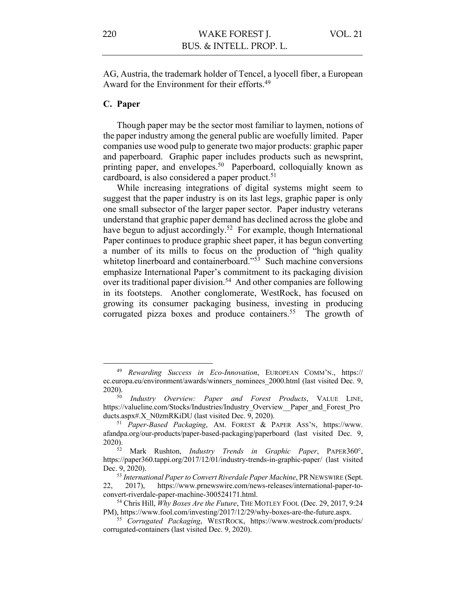AG, Austria, the trademark holder of Tencel, a lyocell fiber, a European Award for the Environment for their efforts.<sup>49</sup>

## **C. Paper**

Though paper may be the sector most familiar to laymen, notions of the paper industry among the general public are woefully limited. Paper companies use wood pulp to generate two major products: graphic paper and paperboard. Graphic paper includes products such as newsprint, printing paper, and envelopes.<sup>50</sup> Paperboard, colloquially known as cardboard, is also considered a paper product. 51

While increasing integrations of digital systems might seem to suggest that the paper industry is on its last legs, graphic paper is only one small subsector of the larger paper sector. Paper industry veterans understand that graphic paper demand has declined across the globe and have begun to adjust accordingly.<sup>52</sup> For example, though International Paper continues to produce graphic sheet paper, it has begun converting a number of its mills to focus on the production of "high quality whitetop linerboard and containerboard."<sup>53</sup> Such machine conversions emphasize International Paper's commitment to its packaging division over its traditional paper division.<sup>54</sup> And other companies are following in its footsteps. Another conglomerate, WestRock, has focused on growing its consumer packaging business, investing in producing corrugated pizza boxes and produce containers.<sup>55</sup> The growth of

<sup>49</sup> *Rewarding Success in Eco-Innovation*, EUROPEAN COMM'N., https:// ec.europa.eu/environment/awards/winners\_nominees\_2000.html (last visited Dec. 9, 2020).

<sup>50</sup> *Industry Overview: Paper and Forest Products*, VALUE LINE, https://valueline.com/Stocks/Industries/Industry\_Overview\_\_Paper\_and\_Forest\_Pro ducts.aspx#.X\_N0zmRKiDU (last visited Dec. 9, 2020).

<sup>51</sup> *Paper-Based Packaging*, AM. FOREST & PAPER ASS'N, https://www. afandpa.org/our-products/paper-based-packaging/paperboard (last visited Dec. 9, 2020).

<sup>52</sup> Mark Rushton, *Industry Trends in Graphic Paper*, PAPER360°, https://paper360.tappi.org/2017/12/01/industry-trends-in-graphic-paper/ (last visited Dec. 9, 2020).

<sup>&</sup>lt;sup>53</sup> International Paper to Convert Riverdale Paper Machine, PR NEWSWIRE (Sept. 22, 2017), https://www.prnewswire.com/news-releases/international-paper-toconvert-riverdale-paper-machine-300524171.html.

<sup>54</sup> Chris Hill, *Why Boxes Are the Future*, THE MOTLEY FOOL (Dec. 29, 2017, 9:24 PM), https://www.fool.com/investing/2017/12/29/why-boxes-are-the-future.aspx.

<sup>55</sup> *Corrugated Packaging*, WESTROCK, https://www.westrock.com/products/ corrugated-containers (last visited Dec. 9, 2020).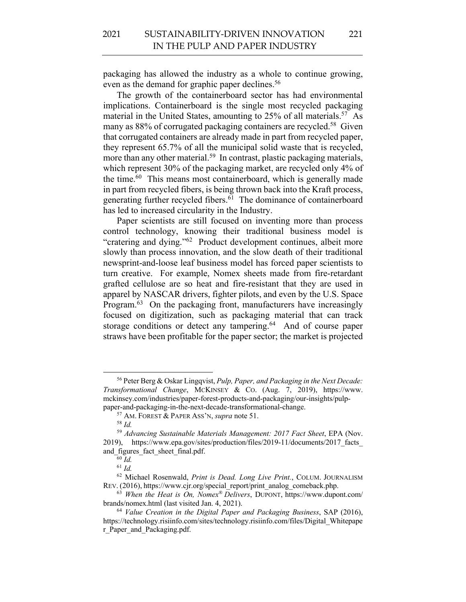packaging has allowed the industry as a whole to continue growing, even as the demand for graphic paper declines.<sup>56</sup>

The growth of the containerboard sector has had environmental implications. Containerboard is the single most recycled packaging material in the United States, amounting to 25% of all materials.<sup>57</sup> As many as 88% of corrugated packaging containers are recycled.<sup>58</sup> Given that corrugated containers are already made in part from recycled paper, they represent 65.7% of all the municipal solid waste that is recycled, more than any other material.<sup>59</sup> In contrast, plastic packaging materials, which represent 30% of the packaging market, are recycled only 4% of the time.<sup>60</sup> This means most containerboard, which is generally made in part from recycled fibers, is being thrown back into the Kraft process, generating further recycled fibers.<sup>61</sup> The dominance of containerboard has led to increased circularity in the Industry.

Paper scientists are still focused on inventing more than process control technology, knowing their traditional business model is "cratering and dying."62 Product development continues, albeit more slowly than process innovation, and the slow death of their traditional newsprint-and-loose leaf business model has forced paper scientists to turn creative. For example, Nomex sheets made from fire-retardant grafted cellulose are so heat and fire-resistant that they are used in apparel by NASCAR drivers, fighter pilots, and even by the U.S. Space Program.<sup>63</sup> On the packaging front, manufacturers have increasingly focused on digitization, such as packaging material that can track storage conditions or detect any tampering.<sup>64</sup> And of course paper straws have been profitable for the paper sector; the market is projected

<sup>56</sup> Peter Berg & Oskar Lingqvist, *Pulp, Paper, and Packaging in the Next Decade: Transformational Change*, MCKINSEY & CO. (Aug. 7, 2019), https://www. mckinsey.com/industries/paper-forest-products-and-packaging/our-insights/pulppaper-and-packaging-in-the-next-decade-transformational-change.

<sup>57</sup> AM. FOREST & PAPER ASS'N, *supra* note 51.

<sup>58</sup> *Id.*

<sup>59</sup> *Advancing Sustainable Materials Management: 2017 Fact Sheet*, EPA (Nov. 2019), https://www.epa.gov/sites/production/files/2019-11/documents/2017\_facts\_ and figures fact sheet final.pdf.

<sup>60</sup> *Id.*

<sup>61</sup> *Id.*

<sup>62</sup> Michael Rosenwald, *Print is Dead. Long Live Print.*, COLUM. JOURNALISM REV. (2016), https://www.cjr.org/special\_report/print\_analog\_comeback.php.

<sup>63</sup> *When the Heat is On, Nomex® Delivers*, DUPONT, https://www.dupont.com/ brands/nomex.html (last visited Jan. 4, 2021).

<sup>64</sup> *Value Creation in the Digital Paper and Packaging Business*, SAP (2016), https://technology.risiinfo.com/sites/technology.risiinfo.com/files/Digital\_Whitepape r Paper and Packaging.pdf.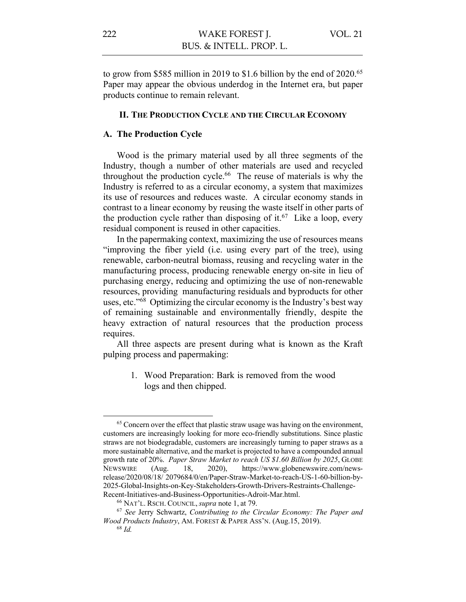to grow from \$585 million in 2019 to \$1.6 billion by the end of 2020.<sup>65</sup> Paper may appear the obvious underdog in the Internet era, but paper products continue to remain relevant.

#### **II. THE PRODUCTION CYCLE AND THE CIRCULAR ECONOMY**

## **A. The Production Cycle**

Wood is the primary material used by all three segments of the Industry, though a number of other materials are used and recycled throughout the production cycle. 66 The reuse of materials is why the Industry is referred to as a circular economy, a system that maximizes its use of resources and reduces waste. A circular economy stands in contrast to a linear economy by reusing the waste itself in other parts of the production cycle rather than disposing of it.<sup>67</sup> Like a loop, every residual component is reused in other capacities.

In the papermaking context, maximizing the use of resources means "improving the fiber yield (i.e. using every part of the tree), using renewable, carbon-neutral biomass, reusing and recycling water in the manufacturing process, producing renewable energy on-site in lieu of purchasing energy, reducing and optimizing the use of non-renewable resources, providing manufacturing residuals and byproducts for other uses, etc."68 Optimizing the circular economy is the Industry's best way of remaining sustainable and environmentally friendly, despite the heavy extraction of natural resources that the production process requires.

All three aspects are present during what is known as the Kraft pulping process and papermaking:

> 1. Wood Preparation: Bark is removed from the wood logs and then chipped.

<sup>&</sup>lt;sup>65</sup> Concern over the effect that plastic straw usage was having on the environment, customers are increasingly looking for more eco-friendly substitutions. Since plastic straws are not biodegradable, customers are increasingly turning to paper straws as a more sustainable alternative, and the market is projected to have a compounded annual growth rate of 20%. *Paper Straw Market to reach US \$1.60 Billion by 2025*, GLOBE NEWSWIRE (Aug. 18, 2020), https://www.globenewswire.com/newsrelease/2020/08/18/ 2079684/0/en/Paper-Straw-Market-to-reach-US-1-60-billion-by-2025-Global-Insights-on-Key-Stakeholders-Growth-Drivers-Restraints-Challenge-Recent-Initiatives-and-Business-Opportunities-Adroit-Mar.html.

<sup>66</sup> NAT'L. RSCH. COUNCIL, *supra* note 1, at 79.

<sup>67</sup> *See* Jerry Schwartz, *Contributing to the Circular Economy: The Paper and Wood Products Industry*, AM. FOREST & PAPER ASS'N. (Aug.15, 2019).

<sup>68</sup> *Id.*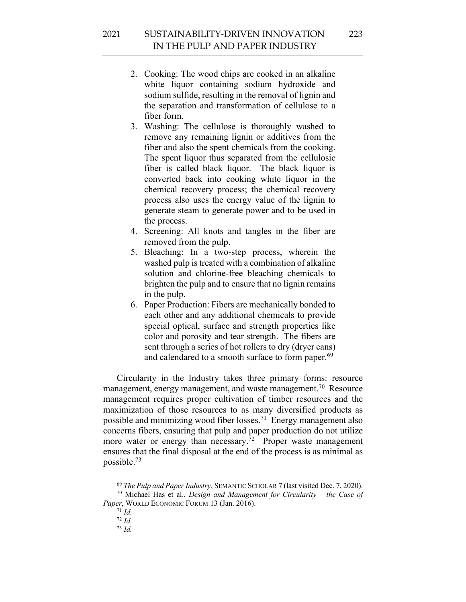- 2. Cooking: The wood chips are cooked in an alkaline white liquor containing sodium hydroxide and sodium sulfide, resulting in the removal of lignin and the separation and transformation of cellulose to a fiber form.
- 3. Washing: The cellulose is thoroughly washed to remove any remaining lignin or additives from the fiber and also the spent chemicals from the cooking. The spent liquor thus separated from the cellulosic fiber is called black liquor. The black liquor is converted back into cooking white liquor in the chemical recovery process; the chemical recovery process also uses the energy value of the lignin to generate steam to generate power and to be used in the process.
- 4. Screening: All knots and tangles in the fiber are removed from the pulp.
- 5. Bleaching: In a two-step process, wherein the washed pulp is treated with a combination of alkaline solution and chlorine-free bleaching chemicals to brighten the pulp and to ensure that no lignin remains in the pulp.
- 6. Paper Production: Fibers are mechanically bonded to each other and any additional chemicals to provide special optical, surface and strength properties like color and porosity and tear strength. The fibers are sent through a series of hot rollers to dry (dryer cans) and calendared to a smooth surface to form paper.<sup>69</sup>

Circularity in the Industry takes three primary forms: resource management, energy management, and waste management.<sup>70</sup> Resource management requires proper cultivation of timber resources and the maximization of those resources to as many diversified products as possible and minimizing wood fiber losses.<sup>71</sup> Energy management also concerns fibers, ensuring that pulp and paper production do not utilize more water or energy than necessary. $\frac{72}{2}$  Proper waste management ensures that the final disposal at the end of the process is as minimal as possible.73

<sup>69</sup> *The Pulp and Paper Industry*, SEMANTIC SCHOLAR 7 (last visited Dec. 7, 2020). <sup>70</sup> Michael Has et al., *Design and Management for Circularity – the Case of* 

*Paper*, WORLD ECONOMIC FORUM 13 (Jan. 2016).

<sup>71</sup> *Id.*

<sup>72</sup> *Id.*

<sup>73</sup> *Id.*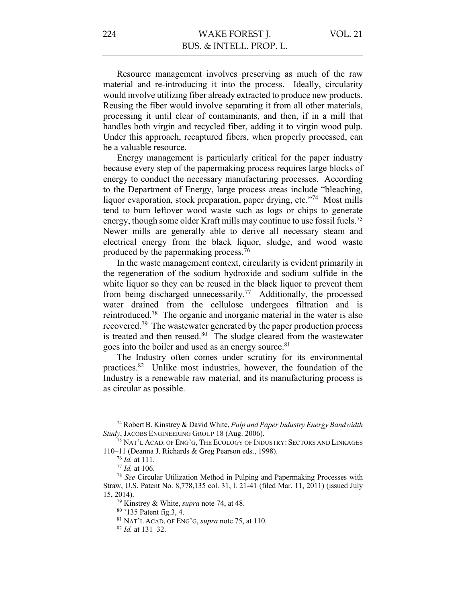Resource management involves preserving as much of the raw material and re-introducing it into the process. Ideally, circularity would involve utilizing fiber already extracted to produce new products. Reusing the fiber would involve separating it from all other materials, processing it until clear of contaminants, and then, if in a mill that handles both virgin and recycled fiber, adding it to virgin wood pulp. Under this approach, recaptured fibers, when properly processed, can be a valuable resource.

Energy management is particularly critical for the paper industry because every step of the papermaking process requires large blocks of energy to conduct the necessary manufacturing processes. According to the Department of Energy, large process areas include "bleaching, liquor evaporation, stock preparation, paper drying, etc."74 Most mills tend to burn leftover wood waste such as logs or chips to generate energy, though some older Kraft mills may continue to use fossil fuels.<sup>75</sup> Newer mills are generally able to derive all necessary steam and electrical energy from the black liquor, sludge, and wood waste produced by the papermaking process.76

In the waste management context, circularity is evident primarily in the regeneration of the sodium hydroxide and sodium sulfide in the white liquor so they can be reused in the black liquor to prevent them from being discharged unnecessarily.77 Additionally, the processed water drained from the cellulose undergoes filtration and is reintroduced.78 The organic and inorganic material in the water is also recovered.79 The wastewater generated by the paper production process is treated and then reused. $80$  The sludge cleared from the wastewater goes into the boiler and used as an energy source.<sup>81</sup>

The Industry often comes under scrutiny for its environmental practices.82 Unlike most industries, however, the foundation of the Industry is a renewable raw material, and its manufacturing process is as circular as possible.

<sup>74</sup> Robert B. Kinstrey & David White, *Pulp and Paper Industry Energy Bandwidth Study*, JACOBS ENGINEERING GROUP 18 (Aug. 2006).

<sup>&</sup>lt;sup>75</sup> NAT'L ACAD. OF ENG'G, THE ECOLOGY OF INDUSTRY: SECTORS AND LINKAGES 110–11 (Deanna J. Richards & Greg Pearson eds., 1998).

<sup>76</sup> *Id.* at 111.

<sup>77</sup> *Id.* at 106.

<sup>78</sup> *See* Circular Utilization Method in Pulping and Papermaking Processes with Straw, U.S. Patent No. 8,778,135 col. 31, l. 21-41 (filed Mar. 11, 2011) (issued July 15, 2014).

<sup>79</sup> Kinstrey & White, *supra* note 74, at 48.

<sup>80</sup> '135 Patent fig.3, 4.

<sup>81</sup> NAT'L ACAD. OF ENG'G, *supra* note 75, at 110.

<sup>82</sup> *Id.* at 131–32.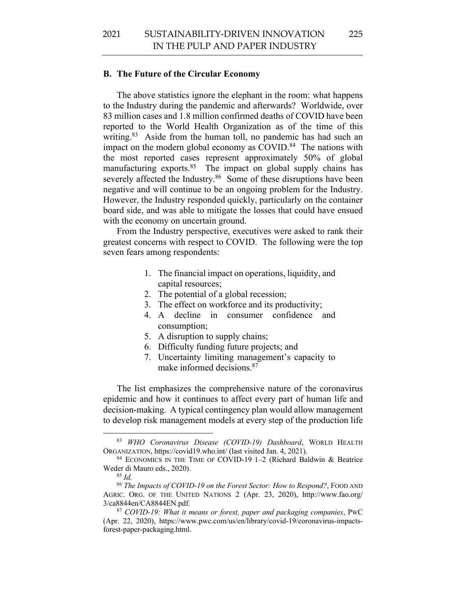225

#### **B. The Future of the Circular Economy**

The above statistics ignore the elephant in the room: what happens to the Industry during the pandemic and afterwards? Worldwide, over 83 million cases and 1.8 million confirmed deaths of COVID have been reported to the World Health Organization as of the time of this writing.<sup>83</sup> Aside from the human toll, no pandemic has had such an impact on the modern global economy as COVID.<sup>84</sup> The nations with the most reported cases represent approximately 50% of global manufacturing exports.<sup>85</sup> The impact on global supply chains has severely affected the Industry.<sup>86</sup> Some of these disruptions have been negative and will continue to be an ongoing problem for the Industry. However, the Industry responded quickly, particularly on the container board side, and was able to mitigate the losses that could have ensued with the economy on uncertain ground.

From the Industry perspective, executives were asked to rank their greatest concerns with respect to COVID. The following were the top seven fears among respondents:

- 1. The financial impact on operations, liquidity, and capital resources;
- 2. The potential of a global recession;
- 3. The effect on workforce and its productivity;
- 4. A decline in consumer confidence and consumption;
- 5. A disruption to supply chains;
- 6. Difficulty funding future projects; and
- 7. Uncertainty limiting management's capacity to make informed decisions. 87

The list emphasizes the comprehensive nature of the coronavirus epidemic and how it continues to affect every part of human life and decision-making. A typical contingency plan would allow management to develop risk management models at every step of the production life

<sup>83</sup> *WHO Coronavirus Disease (COVID-19) Dashboard*, WORLD HEALTH ORGANIZATION, https://covid19.who.int/ (last visited Jan. 4, 2021).

<sup>84</sup> ECONOMICS IN THE TIME OF COVID-19 1–2 (Richard Baldwin & Beatrice Weder di Mauro eds., 2020).

<sup>85</sup> *Id.*

<sup>86</sup> *The Impacts of COVID-19 on the Forest Sector: How to Respond?*, FOOD AND AGRIC. ORG. OF THE UNITED NATIONS 2 (Apr. 23, 2020), http://www.fao.org/ 3/ca8844en/CA8844EN.pdf.

<sup>87</sup> *COVID-19: What it means or forest, paper and packaging companies*, PWC (Apr. 22, 2020), https://www.pwc.com/us/en/library/covid-19/coronavirus-impactsforest-paper-packaging.html.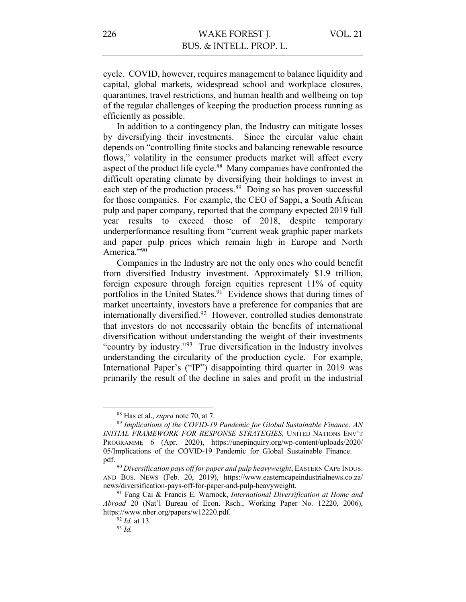cycle. COVID, however, requires management to balance liquidity and capital, global markets, widespread school and workplace closures, quarantines, travel restrictions, and human health and wellbeing on top of the regular challenges of keeping the production process running as efficiently as possible.

In addition to a contingency plan, the Industry can mitigate losses by diversifying their investments. Since the circular value chain depends on "controlling finite stocks and balancing renewable resource flows," volatility in the consumer products market will affect every aspect of the product life cycle.<sup>88</sup> Many companies have confronted the difficult operating climate by diversifying their holdings to invest in each step of the production process.<sup>89</sup> Doing so has proven successful for those companies. For example, the CEO of Sappi, a South African pulp and paper company, reported that the company expected 2019 full year results to exceed those of 2018, despite temporary underperformance resulting from "current weak graphic paper markets and paper pulp prices which remain high in Europe and North America."90

Companies in the Industry are not the only ones who could benefit from diversified Industry investment. Approximately \$1.9 trillion, foreign exposure through foreign equities represent 11% of equity portfolios in the United States.<sup>91</sup> Evidence shows that during times of market uncertainty, investors have a preference for companies that are internationally diversified. <sup>92</sup> However, controlled studies demonstrate that investors do not necessarily obtain the benefits of international diversification without understanding the weight of their investments "country by industry."93 True diversification in the Industry involves understanding the circularity of the production cycle. For example, International Paper's ("IP") disappointing third quarter in 2019 was primarily the result of the decline in sales and profit in the industrial

<sup>&</sup>lt;sup>88</sup> Has et al., *supra* note 70, at 7.<br><sup>89</sup> *Implications of the COVID-19 Pandemic for Global Sustainable Finance: AN INITIAL FRAMEWORK FOR RESPONSE STRATEGIES,* UNITED NATIONS ENV'T PROGRAMME 6 (Apr. 2020), https://unepinquiry.org/wp-content/uploads/2020/ 05/Implications of the COVID-19 Pandemic for Global Sustainable Finance. pdf.

<sup>90</sup> *Diversification pays off for paper and pulp heavyweight*, EASTERN CAPE INDUS. AND BUS. NEWS (Feb. 20, 2019), https://www.easterncapeindustrialnews.co.za/ news/diversification-pays-off-for-paper-and-pulp-heavyweight.

<sup>91</sup> Fang Cai & Francis E. Warnock, *International Diversification at Home and Abroad* 20 (Nat'l Bureau of Econ. Rsch., Working Paper No. 12220, 2006), https://www.nber.org/papers/w12220.pdf.

<sup>92</sup> *Id.* at 13. 93 *Id.*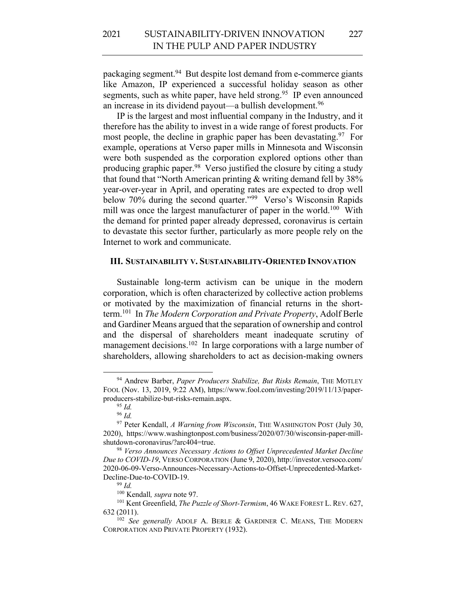packaging segment.<sup>94</sup> But despite lost demand from e-commerce giants like Amazon, IP experienced a successful holiday season as other segments, such as white paper, have held strong.<sup>95</sup> IP even announced an increase in its dividend payout—a bullish development.<sup>96</sup>

IP is the largest and most influential company in the Industry, and it therefore has the ability to invest in a wide range of forest products. For most people, the decline in graphic paper has been devastating.<sup>97</sup> For example, operations at Verso paper mills in Minnesota and Wisconsin were both suspended as the corporation explored options other than producing graphic paper.98 Verso justified the closure by citing a study that found that "North American printing & writing demand fell by 38% year-over-year in April, and operating rates are expected to drop well below 70% during the second quarter."<sup>99</sup> Verso's Wisconsin Rapids mill was once the largest manufacturer of paper in the world.<sup>100</sup> With the demand for printed paper already depressed, coronavirus is certain to devastate this sector further, particularly as more people rely on the Internet to work and communicate.

#### **III. SUSTAINABILITY V. SUSTAINABILITY-ORIENTED INNOVATION**

Sustainable long-term activism can be unique in the modern corporation, which is often characterized by collective action problems or motivated by the maximization of financial returns in the shortterm.101 In *The Modern Corporation and Private Property*, Adolf Berle and Gardiner Means argued that the separation of ownership and control and the dispersal of shareholders meant inadequate scrutiny of management decisions.<sup>102</sup> In large corporations with a large number of shareholders, allowing shareholders to act as decision-making owners

<sup>94</sup> Andrew Barber, *Paper Producers Stabilize, But Risks Remain*, THE MOTLEY FOOL (Nov. 13, 2019, 9:22 AM), https://www.fool.com/investing/2019/11/13/paperproducers-stabilize-but-risks-remain.aspx. 95 *Id.*

<sup>96</sup> *Id.*

<sup>97</sup> Peter Kendall, *A Warning from Wisconsin*, THE WASHINGTON POST (July 30, 2020), https://www.washingtonpost.com/business/2020/07/30/wisconsin-paper-millshutdown-coronavirus/?arc404=true.

<sup>98</sup> *Verso Announces Necessary Actions to Offset Unprecedented Market Decline Due to COVID-19*, VERSO CORPORATION (June 9, 2020), http://investor.versoco.com/ 2020-06-09-Verso-Announces-Necessary-Actions-to-Offset-Unprecedented-Market-Decline-Due-to-COVID-19.

<sup>99</sup> *Id.*

<sup>100</sup> Kendall*, supra* note 97.

<sup>101</sup> Kent Greenfield, *The Puzzle of Short-Termism*, 46 WAKE FOREST L. REV. 627,

<sup>632 (2011). 102</sup> *See generally* ADOLF A. BERLE & GARDINER C. MEANS, THE MODERN CORPORATION AND PRIVATE PROPERTY (1932).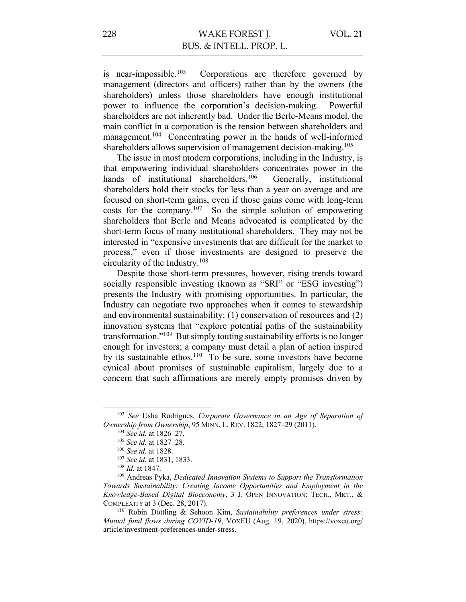is near-impossible. $103$ Corporations are therefore governed by management (directors and officers) rather than by the owners (the shareholders) unless those shareholders have enough institutional power to influence the corporation's decision-making. Powerful shareholders are not inherently bad. Under the Berle-Means model, the main conflict in a corporation is the tension between shareholders and management.<sup>104</sup> Concentrating power in the hands of well-informed shareholders allows supervision of management decision-making.<sup>105</sup>

The issue in most modern corporations, including in the Industry, is that empowering individual shareholders concentrates power in the hands of institutional shareholders.<sup>106</sup> Generally, institutional shareholders hold their stocks for less than a year on average and are focused on short-term gains, even if those gains come with long-term costs for the company.107 So the simple solution of empowering shareholders that Berle and Means advocated is complicated by the short-term focus of many institutional shareholders. They may not be interested in "expensive investments that are difficult for the market to process," even if those investments are designed to preserve the circularity of the Industry.108

Despite those short-term pressures, however, rising trends toward socially responsible investing (known as "SRI" or "ESG investing") presents the Industry with promising opportunities. In particular, the Industry can negotiate two approaches when it comes to stewardship and environmental sustainability: (1) conservation of resources and (2) innovation systems that "explore potential paths of the sustainability transformation."109 But simply touting sustainability efforts is no longer enough for investors; a company must detail a plan of action inspired by its sustainable ethos.110 To be sure, some investors have become cynical about promises of sustainable capitalism, largely due to a concern that such affirmations are merely empty promises driven by

<sup>103</sup> *See* Usha Rodrigues, *Corporate Governance in an Age of Separation of Ownership from Ownership*, 95 MINN. L. REV. 1822, 1827–29 (2011).

<sup>104</sup> *See id.* at 1826–27.

<sup>105</sup> *See id.* at 1827–28.

<sup>106</sup> *See id.* at 1828. 107 *See id.* at 1831, 1833.

<sup>108</sup> *Id.* at 1847.

<sup>109</sup> Andreas Pyka, *Dedicated Innovation Systems to Support the Transformation Towards Sustainability: Creating Income Opportunities and Employment in the Knowledge-Based Digital Bioeconomy*, 3 J. OPEN INNOVATION: TECH., MKT., & COMPLEXITY at 3 (Dec. 28, 2017).

<sup>110</sup> Robin Döttling & Sehoon Kim, *Sustainability preferences under stress: Mutual fund flows during COVID-19*, VOXEU (Aug. 19, 2020), https://voxeu.org/ article/investment-preferences-under-stress.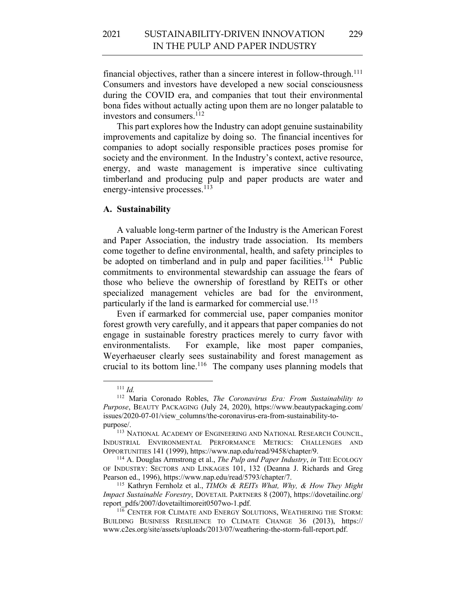financial objectives, rather than a sincere interest in follow-through.<sup>111</sup> Consumers and investors have developed a new social consciousness during the COVID era, and companies that tout their environmental bona fides without actually acting upon them are no longer palatable to investors and consumers. 112

This part explores how the Industry can adopt genuine sustainability improvements and capitalize by doing so. The financial incentives for companies to adopt socially responsible practices poses promise for society and the environment. In the Industry's context, active resource, energy, and waste management is imperative since cultivating timberland and producing pulp and paper products are water and energy-intensive processes.<sup>113</sup>

## **A. Sustainability**

A valuable long-term partner of the Industry is the American Forest and Paper Association, the industry trade association. Its members come together to define environmental, health, and safety principles to be adopted on timberland and in pulp and paper facilities.<sup>114</sup> Public commitments to environmental stewardship can assuage the fears of those who believe the ownership of forestland by REITs or other specialized management vehicles are bad for the environment, particularly if the land is earmarked for commercial use.<sup>115</sup>

Even if earmarked for commercial use, paper companies monitor forest growth very carefully, and it appears that paper companies do not engage in sustainable forestry practices merely to curry favor with environmentalists. For example, like most paper companies, Weyerhaeuser clearly sees sustainability and forest management as crucial to its bottom line.116 The company uses planning models that

<sup>111</sup> *Id.* 

<sup>112</sup> Maria Coronado Robles, *The Coronavirus Era: From Sustainability to Purpose*, BEAUTY PACKAGING (July 24, 2020), https://www.beautypackaging.com/ issues/2020-07-01/view\_columns/the-coronavirus-era-from-sustainability-topurpose/.

<sup>&</sup>lt;sup>113</sup> NATIONAL ACADEMY OF ENGINEERING AND NATIONAL RESEARCH COUNCIL, INDUSTRIAL ENVIRONMENTAL PERFORMANCE METRICS: CHALLENGES AND OPPORTUNITIES 141 (1999), https://www.nap.edu/read/9458/chapter/9.

<sup>114</sup> A. Douglas Armstrong et al., *The Pulp and Paper Industry*, *in* THE ECOLOGY OF INDUSTRY: SECTORS AND LINKAGES 101, 132 (Deanna J. Richards and Greg Pearson ed., 1996), https://www.nap.edu/read/5793/chapter/7.

<sup>115</sup> Kathryn Fernholz et al., *TIMOs & REITs What, Why, & How They Might Impact Sustainable Forestry*, DOVETAIL PARTNERS 8 (2007), https://dovetailinc.org/ report\_pdfs/2007/dovetailtimoreit0507wo-1.pdf.

<sup>116</sup> CENTER FOR CLIMATE AND ENERGY SOLUTIONS, WEATHERING THE STORM: BUILDING BUSINESS RESILIENCE TO CLIMATE CHANGE 36 (2013), https:// www.c2es.org/site/assets/uploads/2013/07/weathering-the-storm-full-report.pdf.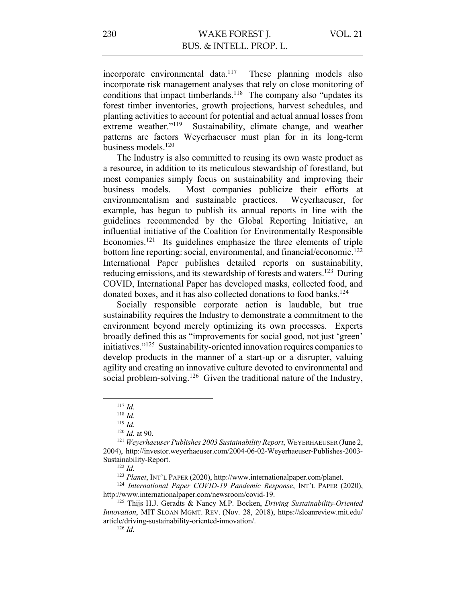incorporate environmental data.<sup>117</sup> These planning models also incorporate risk management analyses that rely on close monitoring of conditions that impact timberlands.<sup>118</sup> The company also "updates its forest timber inventories, growth projections, harvest schedules, and planting activities to account for potential and actual annual losses from extreme weather."<sup>119</sup> Sustainability, climate change, and weather patterns are factors Weyerhaeuser must plan for in its long-term business models.120

The Industry is also committed to reusing its own waste product as a resource, in addition to its meticulous stewardship of forestland, but most companies simply focus on sustainability and improving their business models. Most companies publicize their efforts at environmentalism and sustainable practices. Weyerhaeuser, for example, has begun to publish its annual reports in line with the guidelines recommended by the Global Reporting Initiative, an influential initiative of the Coalition for Environmentally Responsible Economies.<sup>121</sup> Its guidelines emphasize the three elements of triple bottom line reporting: social, environmental, and financial/economic.122 International Paper publishes detailed reports on sustainability, reducing emissions, and its stewardship of forests and waters.<sup>123</sup> During COVID, International Paper has developed masks, collected food, and donated boxes, and it has also collected donations to food banks.<sup>124</sup>

Socially responsible corporate action is laudable, but true sustainability requires the Industry to demonstrate a commitment to the environment beyond merely optimizing its own processes. Experts broadly defined this as "improvements for social good, not just 'green' initiatives."125 Sustainability-oriented innovation requires companies to develop products in the manner of a start-up or a disrupter, valuing agility and creating an innovative culture devoted to environmental and social problem-solving.<sup>126</sup> Given the traditional nature of the Industry,

<sup>122</sup> *Id.*

<sup>117</sup> *Id.*

<sup>118</sup> *Id.*

<sup>119</sup> *Id.*

<sup>120</sup> *Id.* at 90.

<sup>121</sup> *Weyerhaeuser Publishes 2003 Sustainability Report*, WEYERHAEUSER (June 2, 2004), http://investor.weyerhaeuser.com/2004-06-02-Weyerhaeuser-Publishes-2003- Sustainability-Report.

<sup>123</sup> *Planet*, INT'L PAPER (2020), http://www.internationalpaper.com/planet.

<sup>124</sup> *International Paper COVID-19 Pandemic Response*, INT'L PAPER (2020), http://www.internationalpaper.com/newsroom/covid-19.

<sup>125</sup> Thijs H.J. Geradts & Nancy M.P. Bocken, *Driving Sustainability-Oriented Innovation*, MIT SLOAN MGMT. REV. (Nov. 28, 2018), https://sloanreview.mit.edu/ article/driving-sustainability-oriented-innovation/.

<sup>126</sup> *Id.*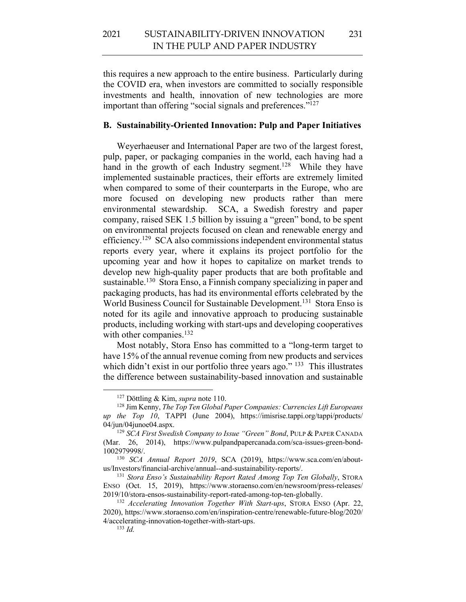this requires a new approach to the entire business. Particularly during the COVID era, when investors are committed to socially responsible investments and health, innovation of new technologies are more important than offering "social signals and preferences."<sup>127</sup>

## **B. Sustainability-Oriented Innovation: Pulp and Paper Initiatives**

Weyerhaeuser and International Paper are two of the largest forest, pulp, paper, or packaging companies in the world, each having had a hand in the growth of each Industry segment.<sup>128</sup> While they have implemented sustainable practices, their efforts are extremely limited when compared to some of their counterparts in the Europe, who are more focused on developing new products rather than mere environmental stewardship. SCA, a Swedish forestry and paper company, raised SEK 1.5 billion by issuing a "green" bond, to be spent on environmental projects focused on clean and renewable energy and efficiency.129 SCA also commissions independent environmental status reports every year, where it explains its project portfolio for the upcoming year and how it hopes to capitalize on market trends to develop new high-quality paper products that are both profitable and sustainable.<sup>130</sup> Stora Enso, a Finnish company specializing in paper and packaging products, has had its environmental efforts celebrated by the World Business Council for Sustainable Development.<sup>131</sup> Stora Enso is noted for its agile and innovative approach to producing sustainable products, including working with start-ups and developing cooperatives with other companies.<sup>132</sup>

Most notably, Stora Enso has committed to a "long-term target to have 15% of the annual revenue coming from new products and services which didn't exist in our portfolio three years ago."<sup>133</sup> This illustrates the difference between sustainability-based innovation and sustainable

<sup>127</sup> Döttling & Kim, *supra* note 110.

<sup>128</sup> Jim Kenny, *The Top Ten Global Paper Companies: Currencies Lift Europeans up the Top 10*, TAPPI (June 2004), https://imisrise.tappi.org/tappi/products/ 04/jun/04junoe04.aspx.

<sup>129</sup> *SCA First Swedish Company to Issue "Green" Bond*, PULP & PAPER CANADA (Mar. 26, 2014), https://www.pulpandpapercanada.com/sca-issues-green-bond-1002979998/.

<sup>130</sup> *SCA Annual Report 2019*, SCA (2019), https://www.sca.com/en/aboutus/Investors/financial-archive/annual--and-sustainability-reports/. 131 *Stora Enso's Sustainability Report Rated Among Top Ten Globally*, STORA

ENSO (Oct. 15, 2019), https://www.storaenso.com/en/newsroom/press-releases/ 2019/10/stora-ensos-sustainability-report-rated-among-top-ten-globally.

<sup>132</sup> *Accelerating Innovation Together With Start-ups*, STORA ENSO (Apr. 22, 2020), https://www.storaenso.com/en/inspiration-centre/renewable-future-blog/2020/ 4/accelerating-innovation-together-with-start-ups. 133 *Id.*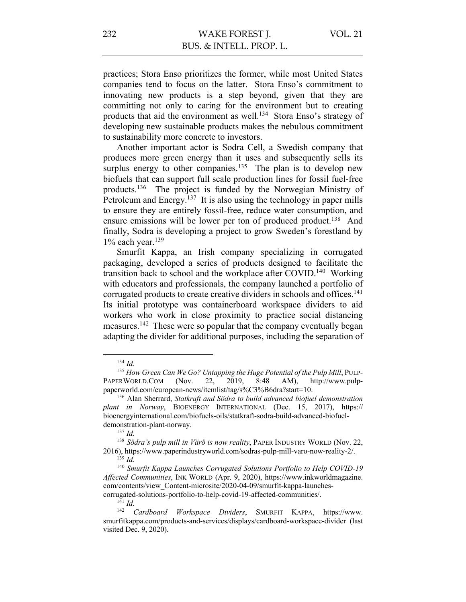practices; Stora Enso prioritizes the former, while most United States companies tend to focus on the latter. Stora Enso's commitment to innovating new products is a step beyond, given that they are committing not only to caring for the environment but to creating products that aid the environment as well.<sup>134</sup> Stora Enso's strategy of developing new sustainable products makes the nebulous commitment to sustainability more concrete to investors.

Another important actor is Sodra Cell, a Swedish company that produces more green energy than it uses and subsequently sells its surplus energy to other companies.<sup>135</sup> The plan is to develop new biofuels that can support full scale production lines for fossil fuel-free products.136 The project is funded by the Norwegian Ministry of Petroleum and Energy.<sup>137</sup> It is also using the technology in paper mills to ensure they are entirely fossil-free, reduce water consumption, and ensure emissions will be lower per ton of produced product.<sup>138</sup> And finally, Sodra is developing a project to grow Sweden's forestland by  $1\%$  each year.<sup>139</sup>

Smurfit Kappa, an Irish company specializing in corrugated packaging, developed a series of products designed to facilitate the transition back to school and the workplace after COVID.<sup>140</sup> Working with educators and professionals, the company launched a portfolio of corrugated products to create creative dividers in schools and offices.<sup>141</sup> Its initial prototype was containerboard workspace dividers to aid workers who work in close proximity to practice social distancing measures.142 These were so popular that the company eventually began adapting the divider for additional purposes, including the separation of

 $\frac{141}{142}$  *Id.* 

<sup>134</sup> *Id.*

<sup>&</sup>lt;sup>135</sup> How Green Can We Go? Untapping the Huge Potential of the Pulp Mill, PULP-PAPERWORLD.COM (Nov. 22, 2019, 8:48 AM), http://www.pulppaperworld.com/european-news/itemlist/tag/s%C3%B6dra?start=10.

<sup>136</sup> Alan Sherrard, *Statkraft and Södra to build advanced biofuel demonstration plant in Norway*, BIOENERGY INTERNATIONAL (Dec. 15, 2017), https:// bioenergyinternational.com/biofuels-oils/statkraft-sodra-build-advanced-biofueldemonstration-plant-norway.

<sup>137</sup> *Id.*

<sup>138</sup> *Södra's pulp mill in Värö is now reality*, PAPER INDUSTRY WORLD (Nov. 22, 2016), https://www.paperindustryworld.com/sodras-pulp-mill-varo-now-reality-2/. <sup>139</sup> *Id.*

<sup>140</sup> *Smurfit Kappa Launches Corrugated Solutions Portfolio to Help COVID-19 Affected Communities*, INK WORLD (Apr. 9, 2020), https://www.inkworldmagazine. com/contents/view\_Content-microsite/2020-04-09/smurfit-kappa-launchescorrugated-solutions-portfolio-to-help-covid-19-affected-communities/.

<sup>142</sup> *Cardboard Workspace Dividers*, SMURFIT KAPPA, https://www. smurfitkappa.com/products-and-services/displays/cardboard-workspace-divider (last visited Dec. 9, 2020).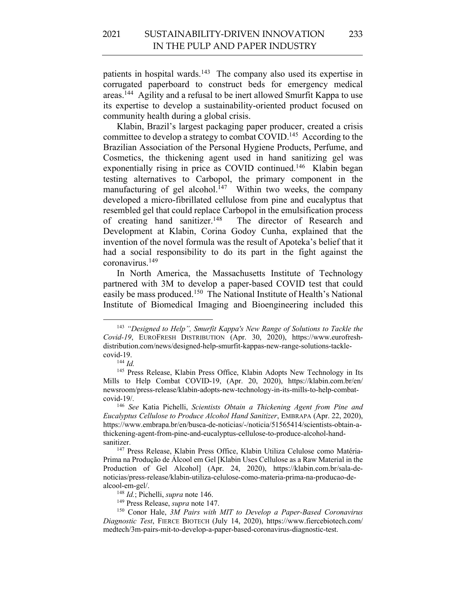patients in hospital wards.<sup>143</sup> The company also used its expertise in corrugated paperboard to construct beds for emergency medical areas.144 Agility and a refusal to be inert allowed Smurfit Kappa to use its expertise to develop a sustainability-oriented product focused on community health during a global crisis.

Klabin, Brazil's largest packaging paper producer, created a crisis committee to develop a strategy to combat COVID.<sup>145</sup> According to the Brazilian Association of the Personal Hygiene Products, Perfume, and Cosmetics, the thickening agent used in hand sanitizing gel was exponentially rising in price as COVID continued.<sup>146</sup> Klabin began testing alternatives to Carbopol, the primary component in the manufacturing of gel alcohol.<sup>147</sup> Within two weeks, the company developed a micro-fibrillated cellulose from pine and eucalyptus that resembled gel that could replace Carbopol in the emulsification process of creating hand sanitizer.148 The director of Research and Development at Klabin, Corina Godoy Cunha, explained that the invention of the novel formula was the result of Apoteka's belief that it had a social responsibility to do its part in the fight against the coronavirus.149

In North America, the Massachusetts Institute of Technology partnered with 3M to develop a paper-based COVID test that could easily be mass produced.150 The National Institute of Health's National Institute of Biomedical Imaging and Bioengineering included this

<sup>143</sup> *"Designed to Help", Smurfit Kappa's New Range of Solutions to Tackle the Covid-19*, EUROFRESH DISTRIBUTION (Apr. 30, 2020), https://www.eurofreshdistribution.com/news/designed-help-smurfit-kappas-new-range-solutions-tacklecovid-19.

<sup>144</sup> *Id.*

<sup>&</sup>lt;sup>145</sup> Press Release, Klabin Press Office, Klabin Adopts New Technology in Its Mills to Help Combat COVID-19, (Apr. 20, 2020), https://klabin.com.br/en/ newsroom/press-release/klabin-adopts-new-technology-in-its-mills-to-help-combatcovid-19/.

<sup>146</sup> *See* Katia Pichelli, *Scientists Obtain a Thickening Agent from Pine and Eucalyptus Cellulose to Produce Alcohol Hand Sanitizer*, EMBRAPA (Apr. 22, 2020), https://www.embrapa.br/en/busca-de-noticias/-/noticia/51565414/scientists-obtain-athickening-agent-from-pine-and-eucalyptus-cellulose-to-produce-alcohol-handsanitizer.

<sup>147</sup> Press Release, Klabin Press Office, Klabin Utiliza Celulose como Matéria-Prima na Produção de Álcool em Gel [Klabin Uses Cellulose as a Raw Material in the Production of Gel Alcohol] (Apr. 24, 2020), https://klabin.com.br/sala-denoticias/press-release/klabin-utiliza-celulose-como-materia-prima-na-producao-dealcool-em-gel/.

<sup>148</sup> *Id.*; Pichelli, *supra* note 146.

<sup>149</sup> Press Release, *supra* note 147.

<sup>150</sup> Conor Hale, *3M Pairs with MIT to Develop a Paper-Based Coronavirus Diagnostic Test*, FIERCE BIOTECH (July 14, 2020), https://www.fiercebiotech.com/ medtech/3m-pairs-mit-to-develop-a-paper-based-coronavirus-diagnostic-test.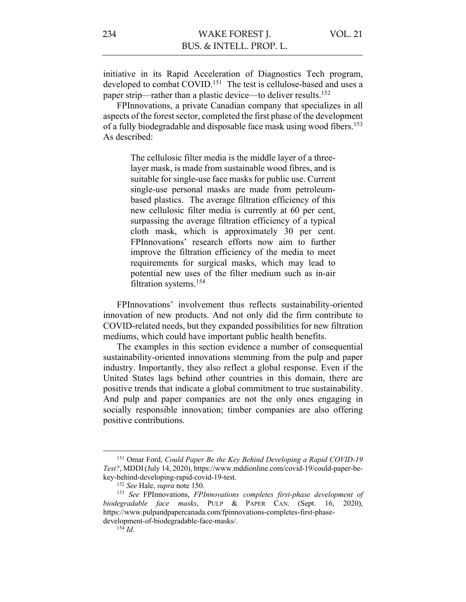initiative in its Rapid Acceleration of Diagnostics Tech program, developed to combat COVID.<sup>151</sup> The test is cellulose-based and uses a paper strip—rather than a plastic device—to deliver results.<sup>152</sup>

FPInnovations, a private Canadian company that specializes in all aspects of the forest sector, completed the first phase of the development of a fully biodegradable and disposable face mask using wood fibers.153 As described:

> The cellulosic filter media is the middle layer of a threelayer mask, is made from sustainable wood fibres, and is suitable for single-use face masks for public use. Current single-use personal masks are made from petroleumbased plastics. The average filtration efficiency of this new cellulosic filter media is currently at 60 per cent, surpassing the average filtration efficiency of a typical cloth mask, which is approximately 30 per cent. FPInnovations' research efforts now aim to further improve the filtration efficiency of the media to meet requirements for surgical masks, which may lead to potential new uses of the filter medium such as in-air filtration systems.154

FPInnovations' involvement thus reflects sustainability-oriented innovation of new products. And not only did the firm contribute to COVID-related needs, but they expanded possibilities for new filtration mediums, which could have important public health benefits.

The examples in this section evidence a number of consequential sustainability-oriented innovations stemming from the pulp and paper industry. Importantly, they also reflect a global response. Even if the United States lags behind other countries in this domain, there are positive trends that indicate a global commitment to true sustainability. And pulp and paper companies are not the only ones engaging in socially responsible innovation; timber companies are also offering positive contributions.

<sup>151</sup> Omar Ford, *Could Paper Be the Key Behind Developing a Rapid COVID-19 Test?*, MDDI(July 14, 2020), https://www.mddionline.com/covid-19/could-paper-bekey-behind-developing-rapid-covid-19-test.

<sup>152</sup> *See* Hale, *supra* note 150.

<sup>153</sup> *See* FPInnovations, *FPInnovations completes first-phase development of biodegradable face masks*, PULP & PAPER CAN. (Sept. 16, 2020), https://www.pulpandpapercanada.com/fpinnovations-completes-first-phasedevelopment-of-biodegradable-face-masks/. 154 *Id.*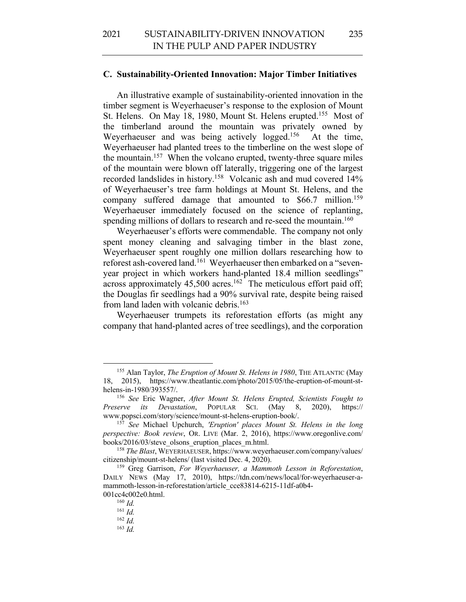#### **C. Sustainability-Oriented Innovation: Major Timber Initiatives**

An illustrative example of sustainability-oriented innovation in the timber segment is Weyerhaeuser's response to the explosion of Mount St. Helens. On May 18, 1980, Mount St. Helens erupted.<sup>155</sup> Most of the timberland around the mountain was privately owned by Weyerhaeuser and was being actively logged.<sup>156</sup> At the time, Weyerhaeuser had planted trees to the timberline on the west slope of the mountain.157 When the volcano erupted, twenty-three square miles of the mountain were blown off laterally, triggering one of the largest recorded landslides in history.158 Volcanic ash and mud covered 14% of Weyerhaeuser's tree farm holdings at Mount St. Helens, and the company suffered damage that amounted to \$66.7 million. 159 Weyerhaeuser immediately focused on the science of replanting, spending millions of dollars to research and re-seed the mountain.<sup>160</sup>

Weyerhaeuser's efforts were commendable. The company not only spent money cleaning and salvaging timber in the blast zone, Weyerhaeuser spent roughly one million dollars researching how to reforest ash-covered land.<sup>161</sup> Weyerhaeuser then embarked on a "sevenyear project in which workers hand-planted 18.4 million seedlings" across approximately  $45,500$  acres.<sup>162</sup> The meticulous effort paid off; the Douglas fir seedlings had a 90% survival rate, despite being raised from land laden with volcanic debris.<sup>163</sup>

Weyerhaeuser trumpets its reforestation efforts (as might any company that hand-planted acres of tree seedlings), and the corporation

<sup>155</sup> Alan Taylor, *The Eruption of Mount St. Helens in 1980*, THE ATLANTIC (May 18, 2015), https://www.theatlantic.com/photo/2015/05/the-eruption-of-mount-sthelens-in-1980/393557/. 156 *See* Eric Wagner, *After Mount St. Helens Erupted, Scientists Fought to* 

*Preserve its Devastation*, POPULAR SCI. (May 8, 2020), https:// www.popsci.com/story/science/mount-st-helens-eruption-book/.

<sup>157</sup> *See* Michael Upchurch, *'Eruption' places Mount St. Helens in the long perspective: Book review*, OR. LIVE (Mar. 2, 2016), https://www.oregonlive.com/ books/2016/03/steve\_olsons\_eruption\_places\_m.html.

<sup>158</sup> *The Blast*, WEYERHAEUSER, https://www.weyerhaeuser.com/company/values/ citizenship/mount-st-helens/ (last visited Dec. 4, 2020). 159 Greg Garrison, *For Weyerhaeuser, a Mammoth Lesson in Reforestation*,

DAILY NEWS (May 17, 2010), https://tdn.com/news/local/for-weyerhaeuser-amammoth-lesson-in-reforestation/article\_cce83814-6215-11df-a0b4-001cc4c002e0.html.

<sup>160</sup> *Id.*

 $^{161}\,$   $ld.$ 

 $162$  *Id.* 

<sup>163</sup> *Id.*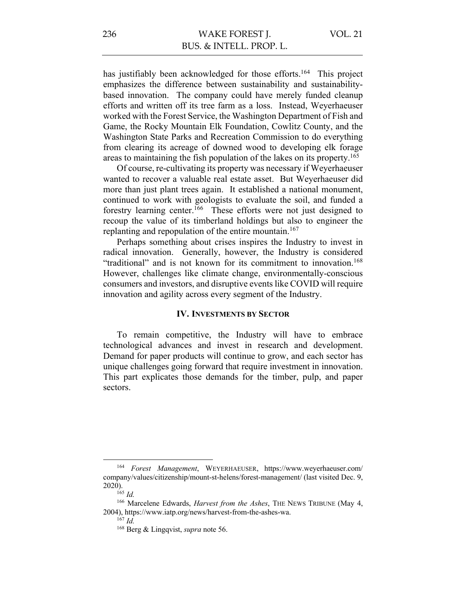has justifiably been acknowledged for those efforts.<sup>164</sup> This project emphasizes the difference between sustainability and sustainabilitybased innovation. The company could have merely funded cleanup efforts and written off its tree farm as a loss. Instead, Weyerhaeuser worked with the Forest Service, the Washington Department of Fish and Game, the Rocky Mountain Elk Foundation, Cowlitz County, and the Washington State Parks and Recreation Commission to do everything from clearing its acreage of downed wood to developing elk forage areas to maintaining the fish population of the lakes on its property.<sup>165</sup>

Of course, re-cultivating its property was necessary if Weyerhaeuser wanted to recover a valuable real estate asset. But Weyerhaeuser did more than just plant trees again. It established a national monument, continued to work with geologists to evaluate the soil, and funded a forestry learning center.166 These efforts were not just designed to recoup the value of its timberland holdings but also to engineer the replanting and repopulation of the entire mountain.<sup>167</sup>

Perhaps something about crises inspires the Industry to invest in radical innovation. Generally, however, the Industry is considered "traditional" and is not known for its commitment to innovation.<sup>168</sup> However, challenges like climate change, environmentally-conscious consumers and investors, and disruptive events like COVID will require innovation and agility across every segment of the Industry.

## **IV. INVESTMENTS BY SECTOR**

To remain competitive, the Industry will have to embrace technological advances and invest in research and development. Demand for paper products will continue to grow, and each sector has unique challenges going forward that require investment in innovation. This part explicates those demands for the timber, pulp, and paper sectors.

<sup>164</sup> *Forest Management*, WEYERHAEUSER, https://www.weyerhaeuser.com/ company/values/citizenship/mount-st-helens/forest-management/ (last visited Dec. 9,  $2020$ ).<br><sup>165</sup> *Id.* 

<sup>&</sup>lt;sup>166</sup> Marcelene Edwards, *Harvest from the Ashes*, THE NEWS TRIBUNE (May 4, 2004), https://www.iatp.org/news/harvest-from-the-ashes-wa. 167 *Id.*

<sup>168</sup> Berg & Lingqvist, *supra* note 56.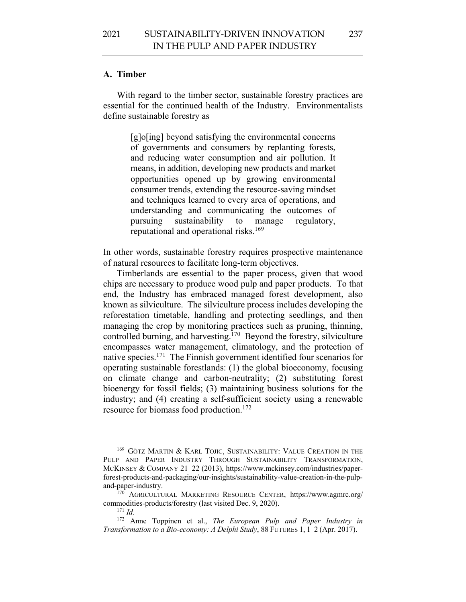237

#### **A. Timber**

With regard to the timber sector, sustainable forestry practices are essential for the continued health of the Industry. Environmentalists define sustainable forestry as

> [g]o[ing] beyond satisfying the environmental concerns of governments and consumers by replanting forests, and reducing water consumption and air pollution. It means, in addition, developing new products and market opportunities opened up by growing environmental consumer trends, extending the resource-saving mindset and techniques learned to every area of operations, and understanding and communicating the outcomes of pursuing sustainability to manage regulatory, reputational and operational risks.<sup>169</sup>

In other words, sustainable forestry requires prospective maintenance of natural resources to facilitate long-term objectives.

Timberlands are essential to the paper process, given that wood chips are necessary to produce wood pulp and paper products. To that end, the Industry has embraced managed forest development, also known as silviculture. The silviculture process includes developing the reforestation timetable, handling and protecting seedlings, and then managing the crop by monitoring practices such as pruning, thinning, controlled burning, and harvesting.<sup>170</sup> Beyond the forestry, silviculture encompasses water management, climatology, and the protection of native species.171 The Finnish government identified four scenarios for operating sustainable forestlands: (1) the global bioeconomy, focusing on climate change and carbon-neutrality; (2) substituting forest bioenergy for fossil fields; (3) maintaining business solutions for the industry; and (4) creating a self-sufficient society using a renewable resource for biomass food production.172

<sup>169</sup> GÖTZ MARTIN & KARL TOJIC, SUSTAINABILITY: VALUE CREATION IN THE PULP AND PAPER INDUSTRY THROUGH SUSTAINABILITY TRANSFORMATION, MCKINSEY & COMPANY 21–22 (2013), https://www.mckinsey.com/industries/paperforest-products-and-packaging/our-insights/sustainability-value-creation-in-the-pulpand-paper-industry.

<sup>170</sup> AGRICULTURAL MARKETING RESOURCE CENTER, https://www.agmrc.org/ commodities-products/forestry (last visited Dec. 9, 2020). 171 *Id.*

<sup>172</sup> Anne Toppinen et al., *The European Pulp and Paper Industry in Transformation to a Bio-economy: A Delphi Study*, 88 FUTURES 1, 1–2 (Apr. 2017).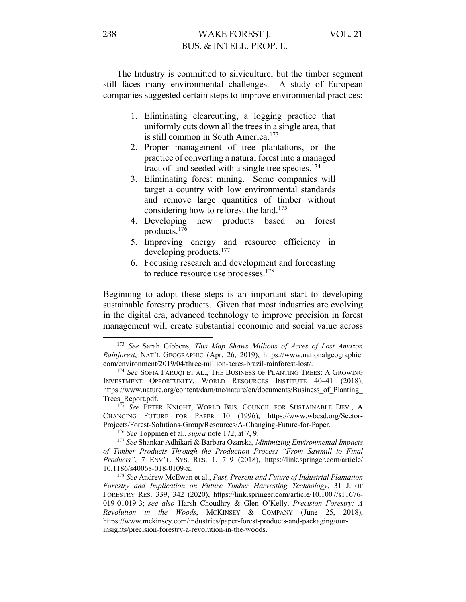The Industry is committed to silviculture, but the timber segment still faces many environmental challenges. A study of European companies suggested certain steps to improve environmental practices:

- 1. Eliminating clearcutting, a logging practice that uniformly cuts down all the trees in a single area, that is still common in South America.<sup>173</sup>
- 2. Proper management of tree plantations, or the practice of converting a natural forest into a managed tract of land seeded with a single tree species.<sup>174</sup>
- 3. Eliminating forest mining. Some companies will target a country with low environmental standards and remove large quantities of timber without considering how to reforest the land.<sup>175</sup>
- 4. Developing new products based on forest products.176
- 5. Improving energy and resource efficiency in developing products.177
- 6. Focusing research and development and forecasting to reduce resource use processes.<sup>178</sup>

Beginning to adopt these steps is an important start to developing sustainable forestry products. Given that most industries are evolving in the digital era, advanced technology to improve precision in forest management will create substantial economic and social value across

<sup>173</sup> *See* Sarah Gibbens, *This Map Shows Millions of Acres of Lost Amazon Rainforest*, NAT'L GEOGRAPHIC (Apr. 26, 2019), https://www.nationalgeographic. com/environment/2019/04/three-million-acres-brazil-rainforest-lost/.

<sup>174</sup> *See* SOFIA FARUQI ET AL., THE BUSINESS OF PLANTING TREES: A GROWING INVESTMENT OPPORTUNITY, WORLD RESOURCES INSTITUTE 40–41 (2018), https://www.nature.org/content/dam/tnc/nature/en/documents/Business\_of\_Planting\_ Trees\_Report.pdf.

<sup>&</sup>lt;sup>175</sup> See PETER KNIGHT, WORLD BUS. COUNCIL FOR SUSTAINABLE DEV., A CHANGING FUTURE FOR PAPER 10 (1996), https://www.wbcsd.org/Sector-Projects/Forest-Solutions-Group/Resources/A-Changing-Future-for-Paper.

<sup>176</sup> *See* Toppinen et al., *supra* note 172, at 7, 9. 177 *See* Shankar Adhikari & Barbara Ozarska, *Minimizing Environmental Impacts of Timber Products Through the Production Process "From Sawmill to Final Products"*, 7 ENV'T. SYS. RES. 1, 7–9 (2018), https://link.springer.com/article/ 10.1186/s40068-018-0109-x.

<sup>178</sup> *See* Andrew McEwan et al., *Past, Present and Future of Industrial Plantation Forestry and Implication on Future Timber Harvesting Technology*, 31 J. OF FORESTRY RES. 339, 342 (2020), https://link.springer.com/article/10.1007/s11676- 019-01019-3; *see also* Harsh Choudhry & Glen O'Kelly, *Precision Forestry: A Revolution in the Woods*, MCKINSEY & COMPANY (June 25, 2018), https://www.mckinsey.com/industries/paper-forest-products-and-packaging/ourinsights/precision-forestry-a-revolution-in-the-woods.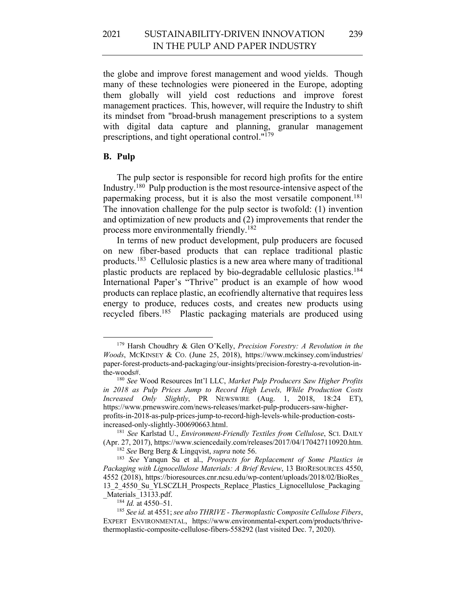the globe and improve forest management and wood yields. Though many of these technologies were pioneered in the Europe, adopting them globally will yield cost reductions and improve forest management practices. This, however, will require the Industry to shift its mindset from "broad-brush management prescriptions to a system with digital data capture and planning, granular management prescriptions, and tight operational control."179

#### **B. Pulp**

The pulp sector is responsible for record high profits for the entire Industry.180 Pulp production is the most resource-intensive aspect of the papermaking process, but it is also the most versatile component.<sup>181</sup> The innovation challenge for the pulp sector is twofold: (1) invention and optimization of new products and (2) improvements that render the process more environmentally friendly.182

In terms of new product development, pulp producers are focused on new fiber-based products that can replace traditional plastic products.183 Cellulosic plastics is a new area where many of traditional plastic products are replaced by bio-degradable cellulosic plastics.184 International Paper's "Thrive" product is an example of how wood products can replace plastic, an ecofriendly alternative that requires less energy to produce, reduces costs, and creates new products using recycled fibers.185 Plastic packaging materials are produced using

<sup>179</sup> Harsh Choudhry & Glen O'Kelly, *Precision Forestry: A Revolution in the Woods*, MCKINSEY & CO. (June 25, 2018), https://www.mckinsey.com/industries/ paper-forest-products-and-packaging/our-insights/precision-forestry-a-revolution-inthe-woods#.

<sup>180</sup> *See* Wood Resources Int'l LLC, *Market Pulp Producers Saw Higher Profits in 2018 as Pulp Prices Jump to Record High Levels, While Production Costs Increased Only Slightly*, PR NEWSWIRE (Aug. 1, 2018, 18:24 ET), https://www.prnewswire.com/news-releases/market-pulp-producers-saw-higherprofits-in-2018-as-pulp-prices-jump-to-record-high-levels-while-production-costsincreased-only-slightly-300690663.html.

<sup>181</sup> *See* Karlstad U., *Environment-Friendly Textiles from Cellulose*, SCI. DAILY (Apr. 27, 2017), https://www.sciencedaily.com/releases/2017/04/170427110920.htm.

<sup>182</sup> *See* Berg Berg & Lingqvist, *supra* note 56.

<sup>183</sup> *See* Yanqun Su et al., *Prospects for Replacement of Some Plastics in Packaging with Lignocellulose Materials: A Brief Review*, 13 BIORESOURCES 4550, 4552 (2018), https://bioresources.cnr.ncsu.edu/wp-content/uploads/2018/02/BioRes\_ 13\_2\_4550\_Su\_YLSCZLH\_Prospects\_Replace\_Plastics\_Lignocellulose\_Packaging Materials 13133.pdf.

<sup>184</sup> *Id.* at 4550–51.

<sup>185</sup> *See id.* at 4551; *see also THRIVE - Thermoplastic Composite Cellulose Fibers*, EXPERT ENVIRONMENTAL, https://www.environmental-expert.com/products/thrivethermoplastic-composite-cellulose-fibers-558292 (last visited Dec. 7, 2020).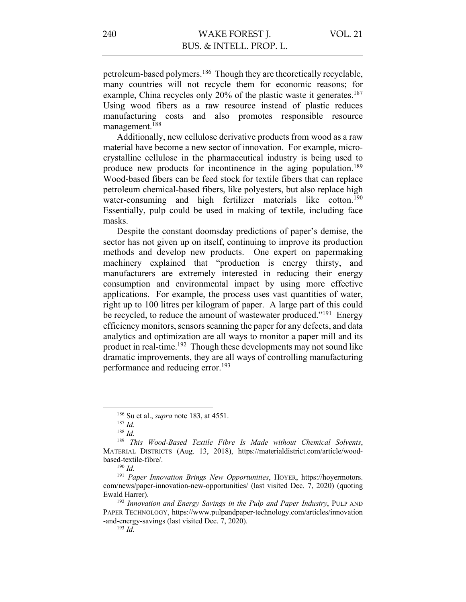petroleum-based polymers.186 Though they are theoretically recyclable, many countries will not recycle them for economic reasons; for example, China recycles only 20% of the plastic waste it generates.<sup>187</sup> Using wood fibers as a raw resource instead of plastic reduces manufacturing costs and also promotes responsible resource management.188

Additionally, new cellulose derivative products from wood as a raw material have become a new sector of innovation. For example, microcrystalline cellulose in the pharmaceutical industry is being used to produce new products for incontinence in the aging population.<sup>189</sup> Wood-based fibers can be feed stock for textile fibers that can replace petroleum chemical-based fibers, like polyesters, but also replace high water-consuming and high fertilizer materials like cotton.<sup>190</sup> Essentially, pulp could be used in making of textile, including face masks.

Despite the constant doomsday predictions of paper's demise, the sector has not given up on itself, continuing to improve its production methods and develop new products. One expert on papermaking machinery explained that "production is energy thirsty, and manufacturers are extremely interested in reducing their energy consumption and environmental impact by using more effective applications. For example, the process uses vast quantities of water, right up to 100 litres per kilogram of paper. A large part of this could be recycled, to reduce the amount of wastewater produced."<sup>191</sup> Energy efficiency monitors, sensors scanning the paper for any defects, and data analytics and optimization are all ways to monitor a paper mill and its product in real-time.192 Though these developments may not sound like dramatic improvements, they are all ways of controlling manufacturing performance and reducing error.<sup>193</sup>

<sup>186</sup> Su et al., *supra* note 183, at 4551.

<sup>187</sup> *Id.*

<sup>188</sup> *Id.*

<sup>189</sup> *This Wood-Based Textile Fibre Is Made without Chemical Solvents*, MATERIAL DISTRICTS (Aug. 13, 2018), https://materialdistrict.com/article/woodbased-textile-fibre/.

<sup>190</sup> *Id.*

<sup>191</sup> *Paper Innovation Brings New Opportunities*, HOYER, https://hoyermotors. com/news/paper-innovation-new-opportunities/ (last visited Dec. 7, 2020) (quoting Ewald Harrer).

<sup>192</sup> *Innovation and Energy Savings in the Pulp and Paper Industry*, PULP AND PAPER TECHNOLOGY, https://www.pulpandpaper-technology.com/articles/innovation -and-energy-savings (last visited Dec. 7, 2020).

<sup>193</sup> *Id.*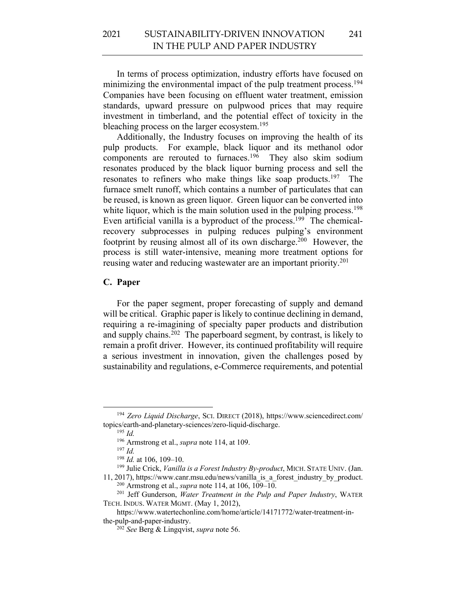In terms of process optimization, industry efforts have focused on minimizing the environmental impact of the pulp treatment process.<sup>194</sup> Companies have been focusing on effluent water treatment, emission standards, upward pressure on pulpwood prices that may require investment in timberland, and the potential effect of toxicity in the bleaching process on the larger ecosystem.<sup>195</sup>

Additionally, the Industry focuses on improving the health of its pulp products. For example, black liquor and its methanol odor components are rerouted to furnaces.<sup>196</sup> They also skim sodium resonates produced by the black liquor burning process and sell the resonates to refiners who make things like soap products.<sup>197</sup> The furnace smelt runoff, which contains a number of particulates that can be reused, is known as green liquor. Green liquor can be converted into white liquor, which is the main solution used in the pulping process.<sup>198</sup> Even artificial vanilla is a byproduct of the process.<sup>199</sup> The chemicalrecovery subprocesses in pulping reduces pulping's environment footprint by reusing almost all of its own discharge.<sup>200</sup> However, the process is still water-intensive, meaning more treatment options for reusing water and reducing wastewater are an important priority.<sup>201</sup>

#### **C. Paper**

For the paper segment, proper forecasting of supply and demand will be critical. Graphic paper is likely to continue declining in demand, requiring a re-imagining of specialty paper products and distribution and supply chains.<sup>202</sup> The paperboard segment, by contrast, is likely to remain a profit driver. However, its continued profitability will require a serious investment in innovation, given the challenges posed by sustainability and regulations, e-Commerce requirements, and potential

<sup>194</sup> *Zero Liquid Discharge*, SCI. DIRECT (2018), https://www.sciencedirect.com/ topics/earth-and-planetary-sciences/zero-liquid-discharge. 195 *Id.*

<sup>196</sup> Armstrong et al., *supra* note 114, at 109. 197 *Id.*

<sup>198</sup> *Id.* at 106, 109–10.

<sup>199</sup> Julie Crick, *Vanilla is a Forest Industry By-product*, MICH. STATE UNIV. (Jan. 11, 2017), https://www.canr.msu.edu/news/vanilla\_is\_a\_forest\_industry\_by\_product. <sup>200</sup> Armstrong et al., *supra* note 114, at 106, 109–10.

<sup>201</sup> Jeff Gunderson, *Water Treatment in the Pulp and Paper Industry*, WATER TECH. INDUS. WATER MGMT. (May 1, 2012),

https://www.watertechonline.com/home/article/14171772/water-treatment-inthe-pulp-and-paper-industry.

<sup>202</sup> *See* Berg & Lingqvist, *supra* note 56.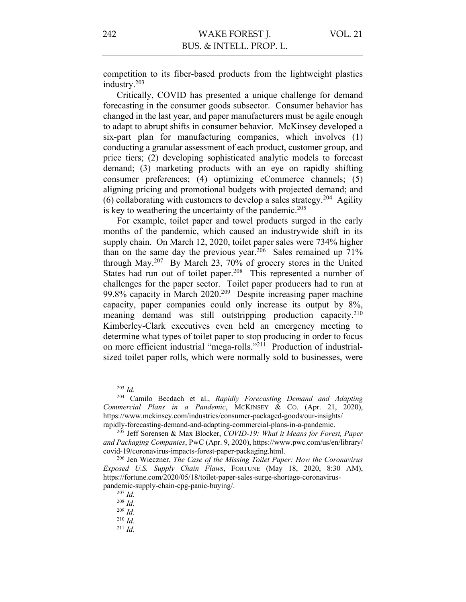competition to its fiber-based products from the lightweight plastics industry.203

Critically, COVID has presented a unique challenge for demand forecasting in the consumer goods subsector. Consumer behavior has changed in the last year, and paper manufacturers must be agile enough to adapt to abrupt shifts in consumer behavior. McKinsey developed a six-part plan for manufacturing companies, which involves (1) conducting a granular assessment of each product, customer group, and price tiers; (2) developing sophisticated analytic models to forecast demand; (3) marketing products with an eye on rapidly shifting consumer preferences; (4) optimizing eCommerce channels; (5) aligning pricing and promotional budgets with projected demand; and (6) collaborating with customers to develop a sales strategy.<sup>204</sup> Agility is key to weathering the uncertainty of the pandemic.<sup>205</sup>

For example, toilet paper and towel products surged in the early months of the pandemic, which caused an industrywide shift in its supply chain. On March 12, 2020, toilet paper sales were 734% higher than on the same day the previous year.<sup>206</sup> Sales remained up  $71\%$ through May.207 By March 23, 70% of grocery stores in the United States had run out of toilet paper.<sup>208</sup> This represented a number of challenges for the paper sector. Toilet paper producers had to run at 99.8% capacity in March 2020.<sup>209</sup> Despite increasing paper machine capacity, paper companies could only increase its output by 8%, meaning demand was still outstripping production capacity.<sup>210</sup> Kimberley-Clark executives even held an emergency meeting to determine what types of toilet paper to stop producing in order to focus on more efficient industrial "mega-rolls."211 Production of industrialsized toilet paper rolls, which were normally sold to businesses, were

<sup>203</sup> *Id.*

<sup>204</sup> Camilo Becdach et al., *Rapidly Forecasting Demand and Adapting Commercial Plans in a Pandemic*, MCKINSEY & CO. (Apr. 21, 2020), https://www.mckinsey.com/industries/consumer-packaged-goods/our-insights/ rapidly-forecasting-demand-and-adapting-commercial-plans-in-a-pandemic.

<sup>205</sup> Jeff Sorensen & Max Blocker, *COVID-19: What it Means for Forest, Paper and Packaging Companies*, PWC (Apr. 9, 2020), https://www.pwc.com/us/en/library/ covid-19/coronavirus-impacts-forest-paper-packaging.html. 206 Jen Wieczner, *The Case of the Missing Toilet Paper: How the Coronavirus* 

*Exposed U.S. Supply Chain Flaws*, FORTUNE (May 18, 2020, 8:30 AM), https://fortune.com/2020/05/18/toilet-paper-sales-surge-shortage-coronaviruspandemic-supply-chain-cpg-panic-buying/.

<sup>207</sup> *Id.*

<sup>208</sup> *Id.*

<sup>209</sup> *Id.*

<sup>210</sup> *Id.*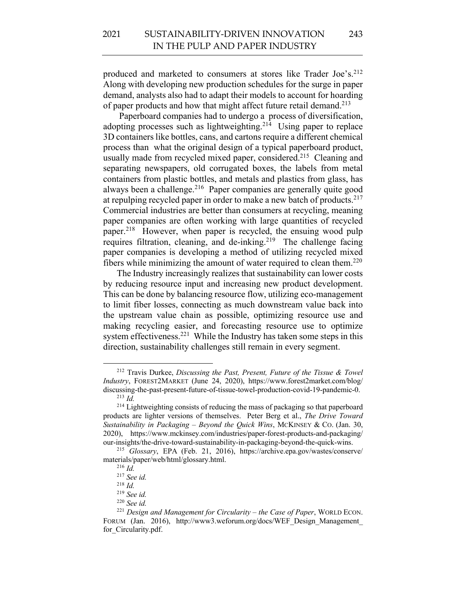produced and marketed to consumers at stores like Trader Joe's.<sup>212</sup> Along with developing new production schedules for the surge in paper demand, analysts also had to adapt their models to account for hoarding of paper products and how that might affect future retail demand.213

Paperboard companies had to undergo a process of diversification, adopting processes such as lightweighting.<sup>214</sup> Using paper to replace 3D containers like bottles, cans, and cartons require a different chemical process than what the original design of a typical paperboard product, usually made from recycled mixed paper, considered.<sup>215</sup> Cleaning and separating newspapers, old corrugated boxes, the labels from metal containers from plastic bottles, and metals and plastics from glass, has always been a challenge. $2^{16}$  Paper companies are generally quite good at repulping recycled paper in order to make a new batch of products.<sup>217</sup> Commercial industries are better than consumers at recycling, meaning paper companies are often working with large quantities of recycled paper.218 However, when paper is recycled, the ensuing wood pulp requires filtration, cleaning, and de-inking.<sup>219</sup> The challenge facing paper companies is developing a method of utilizing recycled mixed fibers while minimizing the amount of water required to clean them.<sup>220</sup>

The Industry increasingly realizes that sustainability can lower costs by reducing resource input and increasing new product development. This can be done by balancing resource flow, utilizing eco-management to limit fiber losses, connecting as much downstream value back into the upstream value chain as possible, optimizing resource use and making recycling easier, and forecasting resource use to optimize system effectiveness.<sup>221</sup> While the Industry has taken some steps in this direction, sustainability challenges still remain in every segment.

<sup>212</sup> Travis Durkee, *Discussing the Past, Present, Future of the Tissue & Towel Industry*, FOREST2MARKET (June 24, 2020), https://www.forest2market.com/blog/ discussing-the-past-present-future-of-tissue-towel-production-covid-19-pandemic-0. <sup>213</sup> *Id.*

<sup>&</sup>lt;sup>214</sup> Lightweighting consists of reducing the mass of packaging so that paperboard products are lighter versions of themselves. Peter Berg et al., *The Drive Toward Sustainability in Packaging – Beyond the Quick Wins*, MCKINSEY & CO. (Jan. 30, 2020), https://www.mckinsey.com/industries/paper-forest-products-and-packaging/ our-insights/the-drive-toward-sustainability-in-packaging-beyond-the-quick-wins. 215 *Glossary*, EPA (Feb. 21, 2016), https://archive.epa.gov/wastes/conserve/

materials/paper/web/html/glossary.html.

<sup>216</sup> *Id.*

<sup>217</sup> *See id.*

<sup>218</sup> *Id.*

<sup>219</sup> *See id.*

<sup>220</sup> *See id.*

<sup>221</sup> *Design and Management for Circularity – the Case of Paper*, WORLD ECON. FORUM (Jan. 2016), http://www3.weforum.org/docs/WEF Design Management for Circularity.pdf.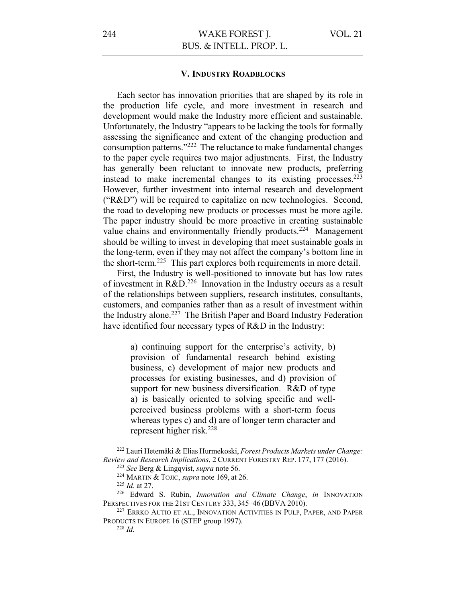#### **V. INDUSTRY ROADBLOCKS**

Each sector has innovation priorities that are shaped by its role in the production life cycle, and more investment in research and development would make the Industry more efficient and sustainable. Unfortunately, the Industry "appears to be lacking the tools for formally assessing the significance and extent of the changing production and consumption patterns."222 The reluctance to make fundamental changes to the paper cycle requires two major adjustments. First, the Industry has generally been reluctant to innovate new products, preferring instead to make incremental changes to its existing processes.223 However, further investment into internal research and development ("R&D") will be required to capitalize on new technologies. Second, the road to developing new products or processes must be more agile. The paper industry should be more proactive in creating sustainable value chains and environmentally friendly products.<sup>224</sup> Management should be willing to invest in developing that meet sustainable goals in the long-term, even if they may not affect the company's bottom line in the short-term.225 This part explores both requirements in more detail.

First, the Industry is well-positioned to innovate but has low rates of investment in  $R&D.<sup>226</sup>$  Innovation in the Industry occurs as a result of the relationships between suppliers, research institutes, consultants, customers, and companies rather than as a result of investment within the Industry alone.<sup>227</sup> The British Paper and Board Industry Federation have identified four necessary types of R&D in the Industry:

> a) continuing support for the enterprise's activity, b) provision of fundamental research behind existing business, c) development of major new products and processes for existing businesses, and d) provision of support for new business diversification. R&D of type a) is basically oriented to solving specific and wellperceived business problems with a short-term focus whereas types c) and d) are of longer term character and represent higher risk.228

<sup>222</sup> Lauri Hetemäki & Elias Hurmekoski, *Forest Products Markets under Change: Review and Research Implications*, <sup>2</sup> CURRENT FORESTRY REP. 177, <sup>177</sup> (2016). 223 *See* Berg & Lingqvist, *supra* note 56.

<sup>224</sup> MARTIN & TOJIC, *supra* note 169, at 26.

<sup>225</sup> *Id.* at 27.

<sup>226</sup> Edward S. Rubin, *Innovation and Climate Change*, *in* INNOVATION PERSPECTIVES FOR THE 21ST CENTURY 333, 345–46 (BBVA 2010).<br><sup>227</sup> ERRKO AUTIO ET AL., INNOVATION ACTIVITIES IN PULP, PAPER, AND PAPER

PRODUCTS IN EUROPE 16 (STEP group 1997). <sup>228</sup> *Id.*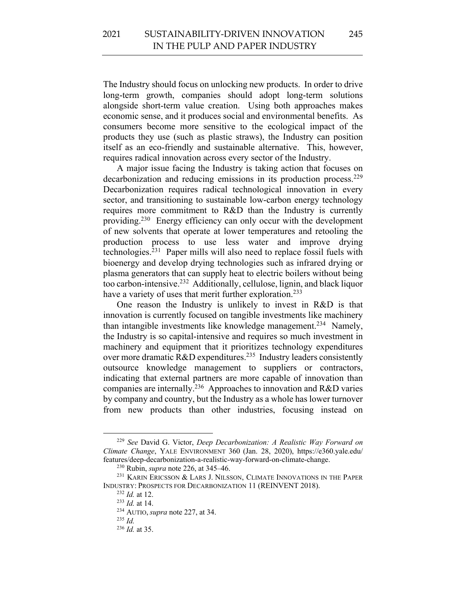The Industry should focus on unlocking new products. In order to drive long-term growth, companies should adopt long-term solutions alongside short-term value creation. Using both approaches makes economic sense, and it produces social and environmental benefits. As consumers become more sensitive to the ecological impact of the products they use (such as plastic straws), the Industry can position itself as an eco-friendly and sustainable alternative. This, however, requires radical innovation across every sector of the Industry.

A major issue facing the Industry is taking action that focuses on decarbonization and reducing emissions in its production process.<sup>229</sup> Decarbonization requires radical technological innovation in every sector, and transitioning to sustainable low-carbon energy technology requires more commitment to R&D than the Industry is currently providing.230 Energy efficiency can only occur with the development of new solvents that operate at lower temperatures and retooling the production process to use less water and improve drying technologies.231 Paper mills will also need to replace fossil fuels with bioenergy and develop drying technologies such as infrared drying or plasma generators that can supply heat to electric boilers without being too carbon-intensive.232 Additionally, cellulose, lignin, and black liquor have a variety of uses that merit further exploration.<sup>233</sup>

One reason the Industry is unlikely to invest in R&D is that innovation is currently focused on tangible investments like machinery than intangible investments like knowledge management.<sup>234</sup> Namely, the Industry is so capital-intensive and requires so much investment in machinery and equipment that it prioritizes technology expenditures over more dramatic R&D expenditures.<sup>235</sup> Industry leaders consistently outsource knowledge management to suppliers or contractors, indicating that external partners are more capable of innovation than companies are internally.236 Approaches to innovation and R&D varies by company and country, but the Industry as a whole has lower turnover from new products than other industries, focusing instead on

<sup>229</sup> *See* David G. Victor, *Deep Decarbonization: A Realistic Way Forward on Climate Change*, YALE ENVIRONMENT 360 (Jan. 28, 2020), https://e360.yale.edu/ features/deep-decarbonization-a-realistic-way-forward-on-climate-change. 230 Rubin, *supra* note 226, at 345–46. 231 KARIN ERICSSON & LARS J. NILSSON, CLIMATE INNOVATIONS IN THE PAPER

INDUSTRY: PROSPECTS FOR DECARBONIZATION 11 (REINVENT 2018). 232 *Id.* at 12.

<sup>233</sup> *Id.* at 14.

<sup>234</sup> AUTIO, *supra* note 227, at 34.

<sup>235</sup> *Id.*

<sup>236</sup> *Id.* at 35.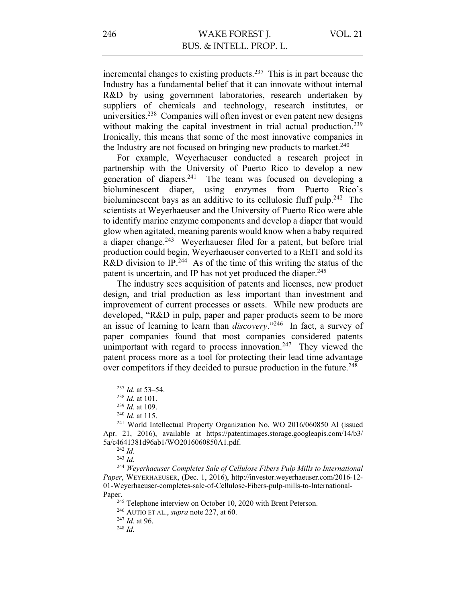incremental changes to existing products.<sup>237</sup> This is in part because the Industry has a fundamental belief that it can innovate without internal R&D by using government laboratories, research undertaken by suppliers of chemicals and technology, research institutes, or universities.238 Companies will often invest or even patent new designs without making the capital investment in trial actual production.<sup>239</sup> Ironically, this means that some of the most innovative companies in the Industry are not focused on bringing new products to market. $240$ 

For example, Weyerhaeuser conducted a research project in partnership with the University of Puerto Rico to develop a new generation of diapers.<sup>241</sup> The team was focused on developing a bioluminescent diaper, using enzymes from Puerto Rico's bioluminescent bays as an additive to its cellulosic fluff pulp.<sup>242</sup> The scientists at Weyerhaeuser and the University of Puerto Rico were able to identify marine enzyme components and develop a diaper that would glow when agitated, meaning parents would know when a baby required a diaper change.<sup>243</sup> Weyerhaueser filed for a patent, but before trial production could begin, Weyerhaeuser converted to a REIT and sold its R&D division to IP.<sup>244</sup> As of the time of this writing the status of the patent is uncertain, and IP has not yet produced the diaper.<sup>245</sup>

The industry sees acquisition of patents and licenses, new product design, and trial production as less important than investment and improvement of current processes or assets. While new products are developed, "R&D in pulp, paper and paper products seem to be more an issue of learning to learn than *discovery*."246 In fact, a survey of paper companies found that most companies considered patents unimportant with regard to process innovation.<sup>247</sup> They viewed the patent process more as a tool for protecting their lead time advantage over competitors if they decided to pursue production in the future.<sup>248</sup>

<sup>244</sup> *Weyerhaeuser Completes Sale of Cellulose Fibers Pulp Mills to International Paper*, WEYERHAEUSER, (Dec. 1, 2016), http://investor.weyerhaeuser.com/2016-12- 01-Weyerhaeuser-completes-sale-of-Cellulose-Fibers-pulp-mills-to-International-Paper.

<sup>245</sup> Telephone interview on October 10, 2020 with Brent Peterson.

<sup>246</sup> AUTIO ET AL., *supra* note 227, at 60. 247 *Id.* at 96. 248 *Id.* 

<sup>237</sup> *Id.* at 53–54.

<sup>238</sup> *Id.* at 101.

<sup>&</sup>lt;sup>239</sup> *Id.* at 109.<br><sup>240</sup> *Id.* at 115.

<sup>&</sup>lt;sup>241</sup> World Intellectual Property Organization No. WO 2016/060850 Al (issued Apr. 21, 2016), available at https://patentimages.storage.googleapis.com/14/b3/ 5a/c4641381d96ab1/WO2016060850A1.pdf. 242 *Id.*

<sup>243</sup> *Id.*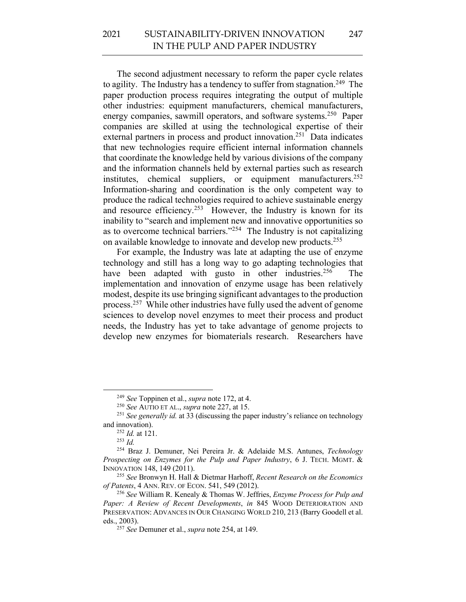The second adjustment necessary to reform the paper cycle relates to agility. The Industry has a tendency to suffer from stagnation.<sup>249</sup> The paper production process requires integrating the output of multiple other industries: equipment manufacturers, chemical manufacturers, energy companies, sawmill operators, and software systems.<sup>250</sup> Paper companies are skilled at using the technological expertise of their external partners in process and product innovation.<sup>251</sup> Data indicates that new technologies require efficient internal information channels that coordinate the knowledge held by various divisions of the company and the information channels held by external parties such as research institutes, chemical suppliers, or equipment manufacturers.<sup>252</sup> Information-sharing and coordination is the only competent way to produce the radical technologies required to achieve sustainable energy and resource efficiency.<sup>253</sup> However, the Industry is known for its inability to "search and implement new and innovative opportunities so as to overcome technical barriers. $1254$  The Industry is not capitalizing on available knowledge to innovate and develop new products.255

For example, the Industry was late at adapting the use of enzyme technology and still has a long way to go adapting technologies that have been adapted with gusto in other industries.<sup>256</sup> The implementation and innovation of enzyme usage has been relatively modest, despite its use bringing significant advantages to the production process.257 While other industries have fully used the advent of genome sciences to develop novel enzymes to meet their process and product needs, the Industry has yet to take advantage of genome projects to develop new enzymes for biomaterials research. Researchers have

<sup>&</sup>lt;sup>249</sup> *See* Toppinen et al., *supra* note 172, at 4.<br><sup>250</sup> *See* AUTIO ET AL., *supra* note 227, at 15.<br><sup>251</sup> *See generally id.* at 33 (discussing the paper industry's reliance on technology and innovation). 252 *Id.* at 121. 253 *Id.* 

<sup>254</sup> Braz J. Demuner, Nei Pereira Jr. & Adelaide M.S. Antunes, *Technology Prospecting on Enzymes for the Pulp and Paper Industry*, 6 J. TECH. MGMT. &

INNOVATION 148, 149 (2011). 255 *See* Bronwyn H. Hall & Dietmar Harhoff, *Recent Research on the Economics* 

<sup>&</sup>lt;sup>256</sup> See William R. Kenealy & Thomas W. Jeffries, *Enzyme Process for Pulp and Paper: A Review of Recent Developments*, *in* 845 WOOD DETERIORATION AND PRESERVATION: ADVANCES IN OUR CHANGING WORLD 210, 213 (Barry Goodell et al. eds., 2003).

<sup>257</sup> *See* Demuner et al., *supra* note 254, at 149.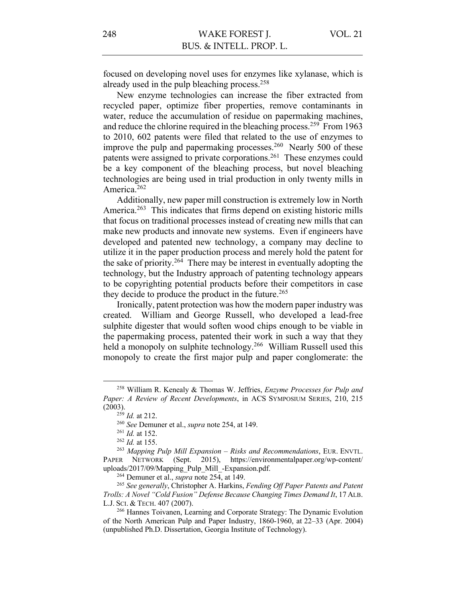focused on developing novel uses for enzymes like xylanase, which is already used in the pulp bleaching process.<sup>258</sup>

New enzyme technologies can increase the fiber extracted from recycled paper, optimize fiber properties, remove contaminants in water, reduce the accumulation of residue on papermaking machines, and reduce the chlorine required in the bleaching process.<sup>259</sup> From 1963 to 2010, 602 patents were filed that related to the use of enzymes to improve the pulp and papermaking processes.<sup>260</sup> Nearly 500 of these patents were assigned to private corporations.<sup>261</sup> These enzymes could be a key component of the bleaching process, but novel bleaching technologies are being used in trial production in only twenty mills in America.<sup>262</sup>

Additionally, new paper mill construction is extremely low in North America.<sup>263</sup> This indicates that firms depend on existing historic mills that focus on traditional processes instead of creating new mills that can make new products and innovate new systems. Even if engineers have developed and patented new technology, a company may decline to utilize it in the paper production process and merely hold the patent for the sake of priority.264 There may be interest in eventually adopting the technology, but the Industry approach of patenting technology appears to be copyrighting potential products before their competitors in case they decide to produce the product in the future.<sup>265</sup>

Ironically, patent protection was how the modern paper industry was created. William and George Russell, who developed a lead-free sulphite digester that would soften wood chips enough to be viable in the papermaking process, patented their work in such a way that they held a monopoly on sulphite technology.<sup>266</sup> William Russell used this monopoly to create the first major pulp and paper conglomerate: the

<sup>258</sup> William R. Kenealy & Thomas W. Jeffries, *Enzyme Processes for Pulp and Paper: A Review of Recent Developments*, in ACS SYMPOSIUM SERIES, 210, 215 (2003).

<sup>259</sup> *Id.* at 212.

<sup>260</sup> *See* Demuner et al., *supra* note 254, at 149.

<sup>261</sup> *Id.* at 152. 262 *Id.* at 155.

<sup>263</sup> *Mapping Pulp Mill Expansion – Risks and Recommendations*, EUR. ENVTL. PAPER NETWORK (Sept. 2015), https://environmentalpaper.org/wp-content/ uploads/2017/09/Mapping\_Pulp\_Mill\_-Expansion.pdf.

<sup>264</sup> Demuner et al., *supra* note 254, at 149.

<sup>265</sup> *See generally*, Christopher A. Harkins, *Fending Off Paper Patents and Patent Trolls: A Novel "Cold Fusion" Defense Because Changing Times Demand It*, 17 ALB. L.J. SCI. & TECH. 407 (2007).<br><sup>266</sup> Hannes Toivanen, Learning and Corporate Strategy: The Dynamic Evolution

of the North American Pulp and Paper Industry, 1860-1960, at 22–33 (Apr. 2004) (unpublished Ph.D. Dissertation, Georgia Institute of Technology).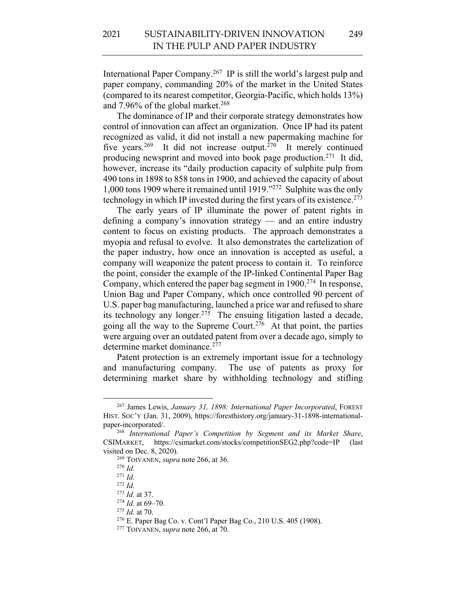International Paper Company.267 IP is still the world's largest pulp and paper company, commanding 20% of the market in the United States (compared to its nearest competitor, Georgia-Pacific, which holds 13%) and 7.96% of the global market.<sup>268</sup>

The dominance of IP and their corporate strategy demonstrates how control of innovation can affect an organization. Once IP had its patent recognized as valid, it did not install a new papermaking machine for five years.<sup>269</sup> It did not increase output.<sup>270</sup> It merely continued producing newsprint and moved into book page production.271 It did, however, increase its "daily production capacity of sulphite pulp from 490 tons in 1898 to 858 tons in 1900, and achieved the capacity of about 1,000 tons 1909 where it remained until 1919."272 Sulphite was the only technology in which IP invested during the first years of its existence.<sup>273</sup>

The early years of IP illuminate the power of patent rights in defining a company's innovation strategy — and an entire industry content to focus on existing products. The approach demonstrates a myopia and refusal to evolve. It also demonstrates the cartelization of the paper industry, how once an innovation is accepted as useful, a company will weaponize the patent process to contain it. To reinforce the point, consider the example of the IP-linked Continental Paper Bag Company, which entered the paper bag segment in 1900. <sup>274</sup> In response, Union Bag and Paper Company, which once controlled 90 percent of U.S. paper bag manufacturing, launched a price war and refused to share its technology any longer.275 The ensuing litigation lasted a decade, going all the way to the Supreme Court.<sup>276</sup> At that point, the parties were arguing over an outdated patent from over a decade ago, simply to determine market dominance.<sup>277</sup>

Patent protection is an extremely important issue for a technology and manufacturing company. The use of patents as proxy for determining market share by withholding technology and stifling

<sup>267</sup> James Lewis, *January 31, 1898: International Paper Incorporated*, FOREST HIST. SOC'Y (Jan. 31, 2009), https://foresthistory.org/january-31-1898-internationalpaper-incorporated/.

<sup>268</sup> *International Paper's Competition by Segment and its Market Share*, CSIMARKET, https://csimarket.com/stocks/competitionSEG2.php?code=IP (last visited on Dec. 8, 2020).

<sup>269</sup> TOIVANEN, *supra* note 266, at 36.

<sup>270</sup> *Id.*

<sup>271</sup> *Id.*

<sup>272</sup> *Id.*

<sup>273</sup> *Id.* at 37.

<sup>274</sup> *Id.* at 69–70.

<sup>275</sup> *Id.* at 70.

<sup>276</sup> E. Paper Bag Co. v. Cont'l Paper Bag Co., 210 U.S. 405 (1908).

<sup>277</sup> TOIVANEN, *supra* note 266, at 70.